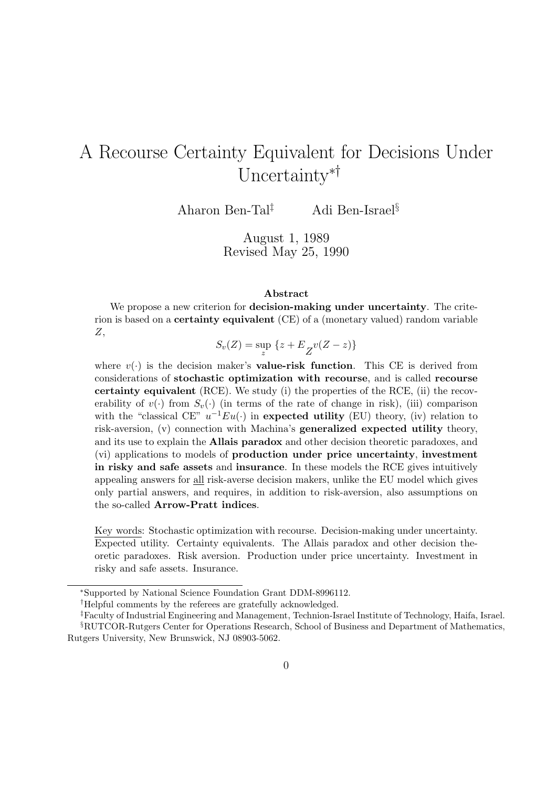# A Recourse Certainty Equivalent for Decisions Under Uncertainty∗†

Aharon Ben-Tal‡ Adi Ben-Israel§

August 1, 1989 Revised May 25, 1990

#### Abstract

We propose a new criterion for **decision-making under uncertainty**. The criterion is based on a certainty equivalent (CE) of a (monetary valued) random variable Z,

 $S_v(Z) = \sup_z \{z + E_{Z}v(Z - z)\}\$ 

where  $v(\cdot)$  is the decision maker's **value-risk function**. This CE is derived from considerations of stochastic optimization with recourse, and is called recourse certainty equivalent (RCE). We study (i) the properties of the RCE, (ii) the recoverability of  $v(\cdot)$  from  $S_v(\cdot)$  (in terms of the rate of change in risk), (iii) comparison with the "classical CE"  $u^{-1}Eu(\cdot)$  in expected utility (EU) theory, (iv) relation to risk-aversion, (v) connection with Machina's generalized expected utility theory, and its use to explain the Allais paradox and other decision theoretic paradoxes, and (vi) applications to models of production under price uncertainty, investment in risky and safe assets and insurance. In these models the RCE gives intuitively appealing answers for all risk-averse decision makers, unlike the EU model which gives only partial answers, and requires, in addition to risk-aversion, also assumptions on the so-called Arrow-Pratt indices.

Key words: Stochastic optimization with recourse. Decision-making under uncertainty. Expected utility. Certainty equivalents. The Allais paradox and other decision theoretic paradoxes. Risk aversion. Production under price uncertainty. Investment in risky and safe assets. Insurance.

<sup>∗</sup>Supported by National Science Foundation Grant DDM-8996112.

<sup>†</sup>Helpful comments by the referees are gratefully acknowledged.

<sup>‡</sup>Faculty of Industrial Engineering and Management, Technion-Israel Institute of Technology, Haifa, Israel. §RUTCOR-Rutgers Center for Operations Research, School of Business and Department of Mathematics,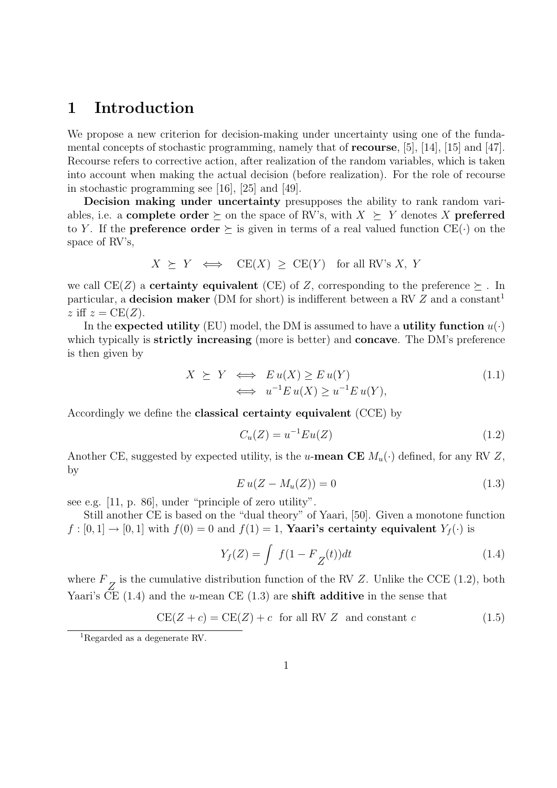### 1 Introduction

We propose a new criterion for decision-making under uncertainty using one of the fundamental concepts of stochastic programming, namely that of recourse, [5], [14], [15] and [47]. Recourse refers to corrective action, after realization of the random variables, which is taken into account when making the actual decision (before realization). For the role of recourse in stochastic programming see [16], [25] and [49].

Decision making under uncertainty presupposes the ability to rank random variables, i.e. a **complete order**  $\succeq$  on the space of RV's, with  $X \succeq Y$  denotes X **preferred** to Y. If the **preference order**  $\succeq$  is given in terms of a real valued function CE( $\cdot$ ) on the space of RV's,

$$
X \succeq Y \iff \text{CE}(X) \ge \text{CE}(Y) \text{ for all RV's } X, Y
$$

we call CE(Z) a **certainty equivalent** (CE) of Z, corresponding to the preference  $\succeq$ . In particular, a decision maker (DM for short) is indifferent between a RV  $Z$  and a constant<sup>1</sup> z iff  $z = CE(Z)$ .

In the expected utility (EU) model, the DM is assumed to have a utility function  $u(\cdot)$ which typically is **strictly increasing** (more is better) and **concave**. The DM's preference is then given by

$$
X \succeq Y \iff E u(X) \ge E u(Y) \n\iff u^{-1} E u(X) \ge u^{-1} E u(Y),
$$
\n(1.1)

Accordingly we define the classical certainty equivalent (CCE) by

$$
C_u(Z) = u^{-1}Eu(Z)
$$
\n(1.2)

Another CE, suggested by expected utility, is the u-mean CE  $M_u(\cdot)$  defined, for any RV Z, by

$$
Eu(Z - M_u(Z)) = 0 \tag{1.3}
$$

see e.g. [11, p. 86], under "principle of zero utility".

Still another CE is based on the "dual theory" of Yaari, [50]. Given a monotone function  $f : [0, 1] \rightarrow [0, 1]$  with  $f(0) = 0$  and  $f(1) = 1$ , **Yaari's certainty equivalent**  $Y_f(\cdot)$  is

$$
Y_f(Z) = \int f(1 - F_Z(t))dt
$$
\n(1.4)

where  $F_Z$  is the cumulative distribution function of the RV Z. Unlike the CCE (1.2), both Yaari's CE  $(1.4)$  and the u-mean CE  $(1.3)$  are **shift additive** in the sense that

$$
CE(Z + c) = CE(Z) + c \text{ for all RV } Z \text{ and constant } c
$$
\n(1.5)

<sup>1</sup>Regarded as a degenerate RV.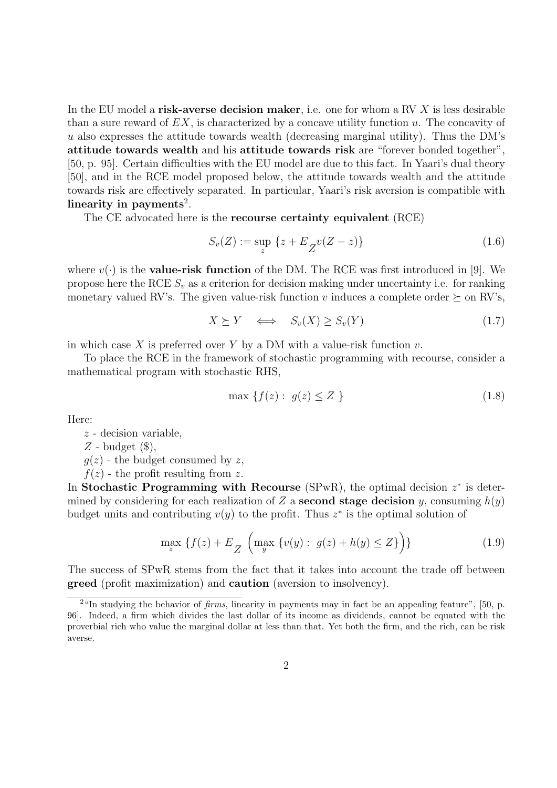In the EU model a risk-averse decision maker, i.e. one for whom a RV  $X$  is less desirable than a sure reward of  $EX$ , is characterized by a concave utility function u. The concavity of  $u$  also expresses the attitude towards wealth (decreasing marginal utility). Thus the DM's attitude towards wealth and his attitude towards risk are "forever bonded together", [50, p. 95]. Certain difficulties with the EU model are due to this fact. In Yaari's dual theory [50], and in the RCE model proposed below, the attitude towards wealth and the attitude towards risk are effectively separated. In particular, Yaari's risk aversion is compatible with linearity in payments<sup>2</sup>.

The CE advocated here is the recourse certainty equivalent (RCE)

$$
S_v(Z) := \sup_z \{ z + E_{Z} v(Z - z) \}
$$
\n(1.6)

where  $v(\cdot)$  is the **value-risk function** of the DM. The RCE was first introduced in [9]. We propose here the RCE  $S_n$  as a criterion for decision making under uncertainty i.e. for ranking monetary valued RV's. The given value-risk function v induces a complete order  $\succeq$  on RV's,

$$
X \succeq Y \quad \Longleftrightarrow \quad S_v(X) \ge S_v(Y) \tag{1.7}
$$

in which case X is preferred over Y by a DM with a value-risk function  $v$ .

To place the RCE in the framework of stochastic programming with recourse, consider a mathematical program with stochastic RHS,

$$
\max \left\{ f(z) : g(z) \le Z \right\} \tag{1.8}
$$

Here:

z - decision variable,

 $Z$  - budget  $(\$\),$ 

 $q(z)$  - the budget consumed by z,

 $f(z)$  - the profit resulting from z.

In Stochastic Programming with Recourse (SPwR), the optimal decision  $z^*$  is determined by considering for each realization of Z a **second stage decision** y, consuming  $h(y)$ budget units and contributing  $v(y)$  to the profit. Thus  $z^*$  is the optimal solution of

$$
\max_{z} \{ f(z) + E_{Z} \left( \max_{y} \{ v(y) : g(z) + h(y) \le Z \} \right) \} \tag{1.9}
$$

The success of SPwR stems from the fact that it takes into account the trade off between greed (profit maximization) and caution (aversion to insolvency).

 $2\text{``In studying the behavior of } \text{firms}, \text{ linearity in payments may in fact be an appealing feature''}, [50, p.$ 96]. Indeed, a firm which divides the last dollar of its income as dividends, cannot be equated with the proverbial rich who value the marginal dollar at less than that. Yet both the firm, and the rich, can be risk averse.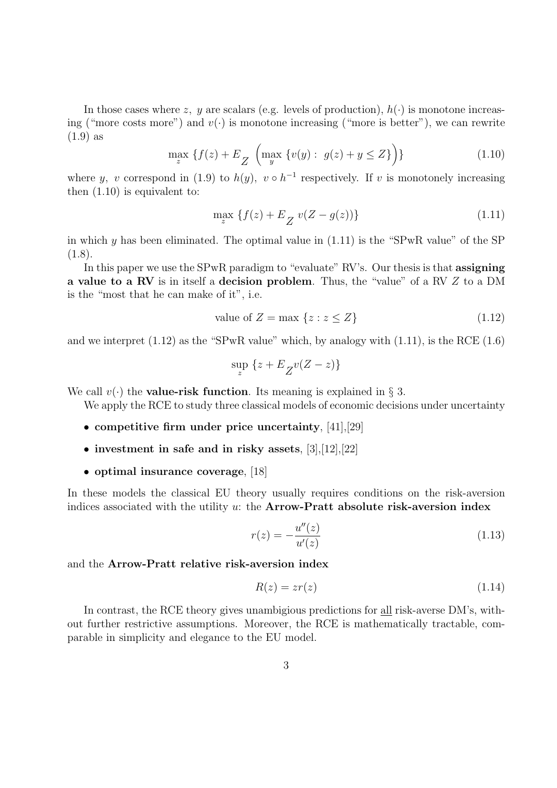In those cases where z, y are scalars (e.g. levels of production),  $h(\cdot)$  is monotone increasing ("more costs more") and  $v(\cdot)$  is monotone increasing ("more is better"), we can rewrite (1.9) as

$$
\max_{z} \{ f(z) + E_{Z} \left( \max_{y} \{ v(y) : g(z) + y \le Z \} \right) \} \tag{1.10}
$$

where y, v correspond in (1.9) to  $h(y)$ ,  $v \circ h^{-1}$  respectively. If v is monotonely increasing then (1.10) is equivalent to:

$$
\max_{z} \{ f(z) + E_{Z} v(Z - g(z)) \}
$$
\n(1.11)

in which y has been eliminated. The optimal value in  $(1.11)$  is the "SPwR value" of the SP  $(1.8).$ 

In this paper we use the SPwR paradigm to "evaluate" RV's. Our thesis is that **assigning** a value to a RV is in itself a decision problem. Thus, the "value" of a RV Z to a DM is the "most that he can make of it", i.e.

value of 
$$
Z = \max \{ z : z \le Z \}
$$
 (1.12)

and we interpret  $(1.12)$  as the "SPwR value" which, by analogy with  $(1.11)$ , is the RCE  $(1.6)$ 

$$
\sup_{z} \left\{ z + E \frac{1}{Z} v(Z - z) \right\}
$$

We call  $v(\cdot)$  the **value-risk function**. Its meaning is explained in § 3.

We apply the RCE to study three classical models of economic decisions under uncertainty

- competitive firm under price uncertainty, [41], [29]
- investment in safe and in risky assets, [3], [12], [22]
- optimal insurance coverage, [18]

In these models the classical EU theory usually requires conditions on the risk-aversion indices associated with the utility  $u$ : the **Arrow-Pratt absolute risk-aversion index** 

$$
r(z) = -\frac{u''(z)}{u'(z)}
$$
(1.13)

and the Arrow-Pratt relative risk-aversion index

$$
R(z) = zr(z) \tag{1.14}
$$

In contrast, the RCE theory gives unambigious predictions for all risk-averse DM's, without further restrictive assumptions. Moreover, the RCE is mathematically tractable, comparable in simplicity and elegance to the EU model.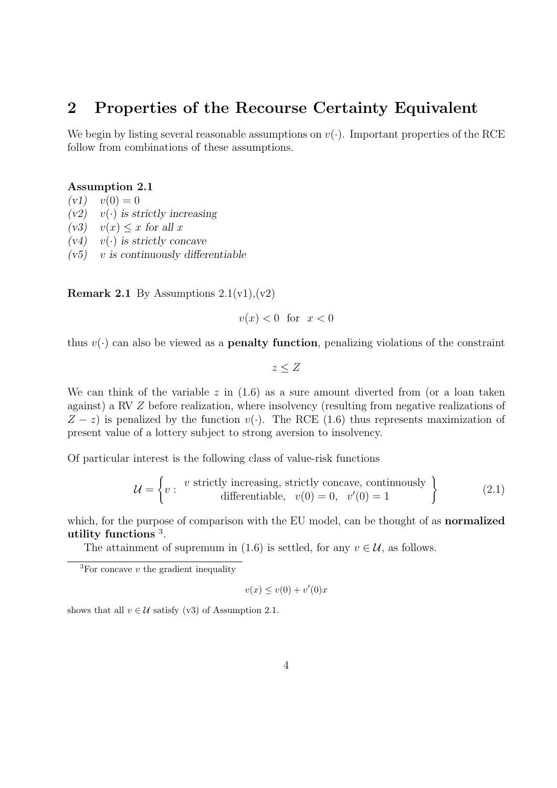### 2 Properties of the Recourse Certainty Equivalent

We begin by listing several reasonable assumptions on  $v(\cdot)$ . Important properties of the RCE follow from combinations of these assumptions.

#### Assumption 2.1

 $(v1)$   $v(0) = 0$ 

- $(v2)$  v(·) is strictly increasing
- $(v3)$   $v(x) < x$  for all x
- $(v4)$  v(·) is strictly concave
- $(v5)$  v is continuously differentiable

**Remark 2.1** By Assumptions  $2.1(v1),(v2)$ 

$$
v(x) < 0 \quad \text{for} \quad x < 0
$$

thus  $v(\cdot)$  can also be viewed as a **penalty function**, penalizing violations of the constraint

$$
z \leq Z
$$

We can think of the variable  $z$  in  $(1.6)$  as a sure amount diverted from (or a loan taken against) a RV Z before realization, where insolvency (resulting from negative realizations of  $Z - z$ ) is penalized by the function  $v(\cdot)$ . The RCE (1.6) thus represents maximization of present value of a lottery subject to strong aversion to insolvency.

Of particular interest is the following class of value-risk functions

$$
\mathcal{U} = \left\{ v : \begin{array}{c} v \text{ strictly increasing, strictly concave, continuously} \\ \text{differentiable,} \end{array} \right\} \tag{2.1}
$$

which, for the purpose of comparison with the EU model, can be thought of as **normalized** utility functions <sup>3</sup> .

The attainment of supremum in (1.6) is settled, for any  $v \in \mathcal{U}$ , as follows.

$$
v(x) \le v(0) + v'(0)x
$$

shows that all  $v \in \mathcal{U}$  satisfy (v3) of Assumption 2.1.

<sup>&</sup>lt;sup>3</sup>For concave  $v$  the gradient inequality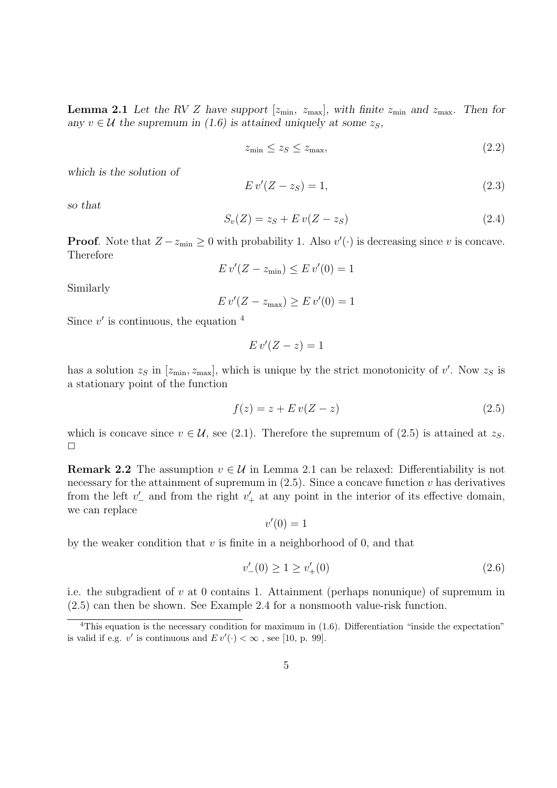**Lemma 2.1** Let the RV Z have support  $[z_{\min}, z_{\max}]$ , with finite  $z_{\min}$  and  $z_{\max}$ . Then for any  $v \in U$  the supremum in (1.6) is attained uniquely at some  $z_S$ ,

$$
z_{\min} \le z_S \le z_{\max},\tag{2.2}
$$

which is the solution of

$$
Ev'(Z - z_S) = 1,\t\t(2.3)
$$

so that

$$
S_v(Z) = z_S + E v(Z - z_S) \tag{2.4}
$$

**Proof.** Note that  $Z - z_{\text{min}} \geq 0$  with probability 1. Also  $v'(\cdot)$  is decreasing since v is concave. Therefore

$$
E v'(Z - z_{\min}) \le E v'(0) = 1
$$

Similarly

$$
E v'(Z - z_{\text{max}}) \ge E v'(0) = 1
$$

Since  $v'$  is continuous, the equation  $4$ 

$$
E v'(Z - z) = 1
$$

has a solution  $z_S$  in  $[z_{\text{min}}, z_{\text{max}}]$ , which is unique by the strict monotonicity of v'. Now  $z_S$  is a stationary point of the function

$$
f(z) = z + E v(Z - z)
$$
\n
$$
(2.5)
$$

which is concave since  $v \in \mathcal{U}$ , see (2.1). Therefore the supremum of (2.5) is attained at  $z_s$ .  $\Box$ 

**Remark 2.2** The assumption  $v \in \mathcal{U}$  in Lemma 2.1 can be relaxed: Differentiability is not necessary for the attainment of supremum in  $(2.5)$ . Since a concave function v has derivatives from the left  $v'$  and from the right  $v'$  at any point in the interior of its effective domain, we can replace

$$
v'(0) = 1
$$

by the weaker condition that  $v$  is finite in a neighborhood of 0, and that

$$
v'_{-}(0) \ge 1 \ge v'_{+}(0) \tag{2.6}
$$

i.e. the subgradient of  $v$  at 0 contains 1. Attainment (perhaps nonunique) of supremum in (2.5) can then be shown. See Example 2.4 for a nonsmooth value-risk function.

<sup>&</sup>lt;sup>4</sup>This equation is the necessary condition for maximum in  $(1.6)$ . Differentiation "inside the expectation" is valid if e.g. v' is continuous and  $E v'(\cdot) < \infty$ , see [10, p. 99].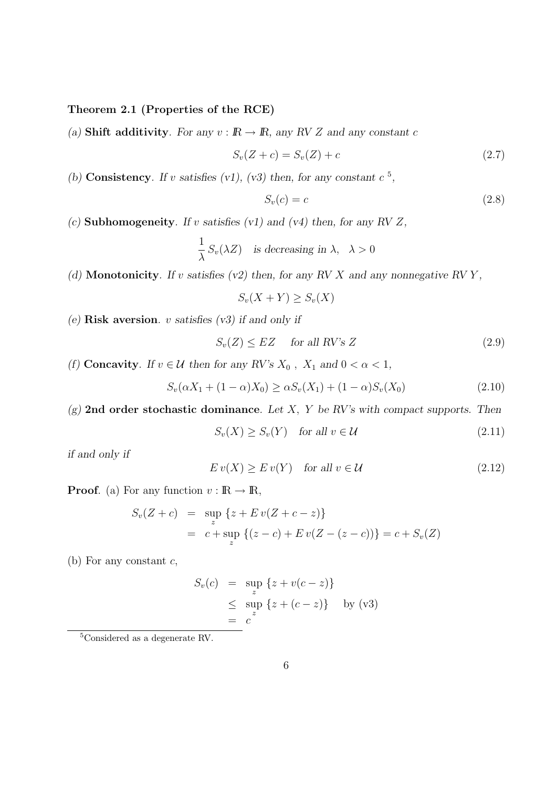Theorem 2.1 (Properties of the RCE)

(a) Shift additivity. For any  $v : \mathbb{R} \to \mathbb{R}$ , any RV Z and any constant c

$$
S_v(Z + c) = S_v(Z) + c \tag{2.7}
$$

(b) Consistency. If v satisfies (v1), (v3) then, for any constant  $c^5$ ,

$$
S_v(c) = c \tag{2.8}
$$

(c) Subhomogeneity. If v satisfies (v1) and (v4) then, for any RV  $Z$ ,

$$
\frac{1}{\lambda} S_v(\lambda Z) \quad \text{is decreasing in } \lambda, \ \lambda > 0
$$

(d) Monotonicity. If v satisfies (v2) then, for any RV X and any nonnegative RV Y,

$$
S_v(X+Y) \ge S_v(X)
$$

(e) Risk aversion.  $v$  satisfies  $(v3)$  if and only if

 $S_v(Z) \leq EZ$  for all RV's Z (2.9)

(f) Concavity. If  $v \in \mathcal{U}$  then for any RV's  $X_0$ ,  $X_1$  and  $0 < \alpha < 1$ ,

$$
S_v(\alpha X_1 + (1 - \alpha)X_0) \ge \alpha S_v(X_1) + (1 - \alpha)S_v(X_0)
$$
\n(2.10)

 $(g)$  2nd order stochastic dominance. Let X, Y be RV's with compact supports. Then

$$
S_v(X) \ge S_v(Y) \quad \text{for all } v \in \mathcal{U}
$$
\n
$$
(2.11)
$$

if and only if

$$
E v(X) \ge E v(Y) \quad \text{for all } v \in \mathcal{U}
$$
\n
$$
(2.12)
$$

**Proof.** (a) For any function  $v : \mathbb{R} \to \mathbb{R}$ ,

$$
S_v(Z + c) = \sup_{z} \{z + E v(Z + c - z)\}
$$
  
= c + \sup\_{z} \{(z - c) + E v(Z - (z - c))\} = c + S\_v(Z)

(b) For any constant  $c$ ,

$$
S_v(c) = \sup_z \{z + v(c - z)\}
$$
  
\n
$$
\leq \sup_z \{z + (c - z)\} \quad \text{by (v3)}
$$
  
\n
$$
= c^z
$$

<sup>5</sup>Considered as a degenerate RV.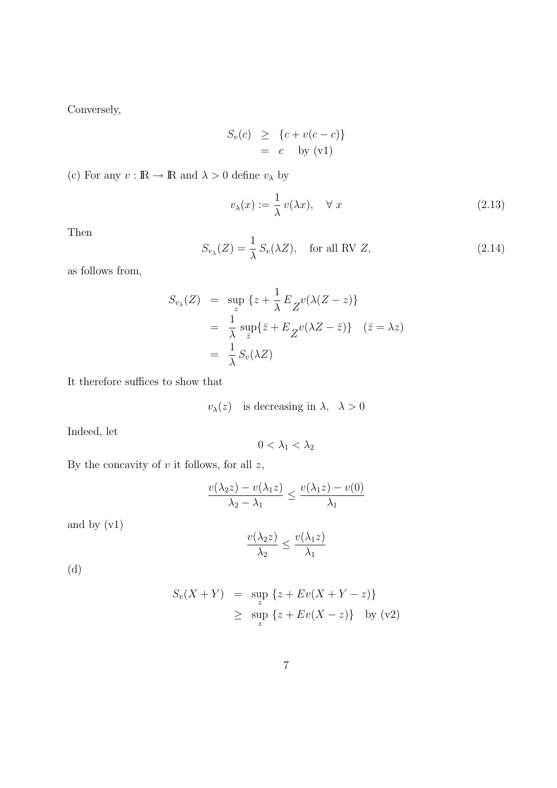Conversely,

$$
S_v(c) \geq \{c + v(c - c)\}\
$$

$$
= c \text{ by (v1)}
$$

(c) For any  $v : \mathbb{R} \to \mathbb{R}$  and  $\lambda > 0$  define  $v_{\lambda}$  by

$$
v_{\lambda}(x) := \frac{1}{\lambda} v(\lambda x), \quad \forall \ x \tag{2.13}
$$

Then

$$
S_{v_{\lambda}}(Z) = \frac{1}{\lambda} S_v(\lambda Z), \quad \text{for all RV } Z,
$$
\n(2.14)

as follows from,

$$
S_{v_{\lambda}}(Z) = \sup_{z} \{z + \frac{1}{\lambda} E_{Z} v(\lambda(Z - z))\}
$$
  
=  $\frac{1}{\lambda} \sup_{\bar{z}} \{\bar{z} + E_{Z} v(\lambda Z - \bar{z})\} \quad (\bar{z} = \lambda z)$   
=  $\frac{1}{\lambda} S_{v}(\lambda Z)$ 

It therefore suffices to show that

$$
v_{\lambda}(z)
$$
 is decreasing in  $\lambda$ ,  $\lambda > 0$ 

Indeed, let

$$
0<\lambda_1<\lambda_2
$$

By the concavity of  $v$  it follows, for all  $z$ ,

$$
\frac{v(\lambda_2 z) - v(\lambda_1 z)}{\lambda_2 - \lambda_1} \le \frac{v(\lambda_1 z) - v(0)}{\lambda_1}
$$

and by (v1)

$$
\frac{v(\lambda_2 z)}{\lambda_2} \le \frac{v(\lambda_1 z)}{\lambda_1}
$$

(d)

$$
S_v(X+Y) = \sup_{z} \{z + Ev(X+Y-z)\}
$$
  
 
$$
\geq \sup_{z} \{z + Ev(X-z)\} \text{ by (v2)}
$$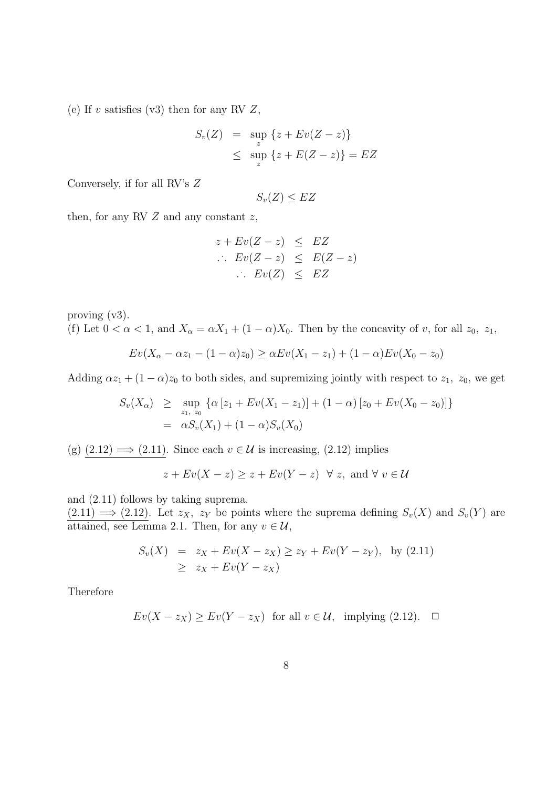(e) If  $v$  satisfies (v3) then for any RV  $Z$ ,

$$
S_v(Z) = \sup_{z} \{z + Ev(Z - z)\}
$$
  
 
$$
\leq \sup_{z} \{z + E(Z - z)\} = EZ
$$

Conversely, if for all RV's Z

$$
S_v(Z) \le EZ
$$

then, for any RV  $Z$  and any constant  $z$ ,

$$
z + Ev(Z - z) \leq EZ
$$
  
\n
$$
\therefore Ev(Z - z) \leq E(Z - z)
$$
  
\n
$$
\therefore Ev(Z) \leq EZ
$$

proving (v3). (f) Let  $0 < \alpha < 1$ , and  $X_{\alpha} = \alpha X_1 + (1 - \alpha)X_0$ . Then by the concavity of v, for all  $z_0$ ,  $z_1$ ,

$$
Ev(X_{\alpha} - \alpha z_{1} - (1 - \alpha)z_{0}) \ge \alpha Ev(X_{1} - z_{1}) + (1 - \alpha)Ev(X_{0} - z_{0})
$$

Adding  $\alpha z_1 + (1 - \alpha)z_0$  to both sides, and supremizing jointly with respect to  $z_1$ ,  $z_0$ , we get

$$
S_v(X_{\alpha}) \ge \sup_{z_1, z_0} {\{\alpha [z_1 + Ev(X_1 - z_1)] + (1 - \alpha) [z_0 + Ev(X_0 - z_0)]\}}
$$
  
=  $\alpha S_v(X_1) + (1 - \alpha) S_v(X_0)$ 

(g)  $(2.12) \implies (2.11)$ . Since each  $v \in \mathcal{U}$  is increasing,  $(2.12)$  implies

$$
z + Ev(X - z) \ge z + Ev(Y - z) \quad \forall \ z, \text{ and } \forall \ v \in \mathcal{U}
$$

and (2.11) follows by taking suprema.

 $(2.11) \Longrightarrow (2.12)$ . Let  $z_X$ ,  $z_Y$  be points where the suprema defining  $S_v(X)$  and  $S_v(Y)$  are attained, see Lemma 2.1. Then, for any  $v \in \mathcal{U}$ ,

$$
S_v(X) = z_X + Ev(X - z_X) \ge z_Y + Ev(Y - z_Y), \text{ by (2.11)}
$$
  
 
$$
\ge z_X + Ev(Y - z_X)
$$

Therefore

$$
Ev(X - z_X) \ge Ev(Y - z_X) \text{ for all } v \in \mathcal{U}, \text{ implying (2.12). } \square
$$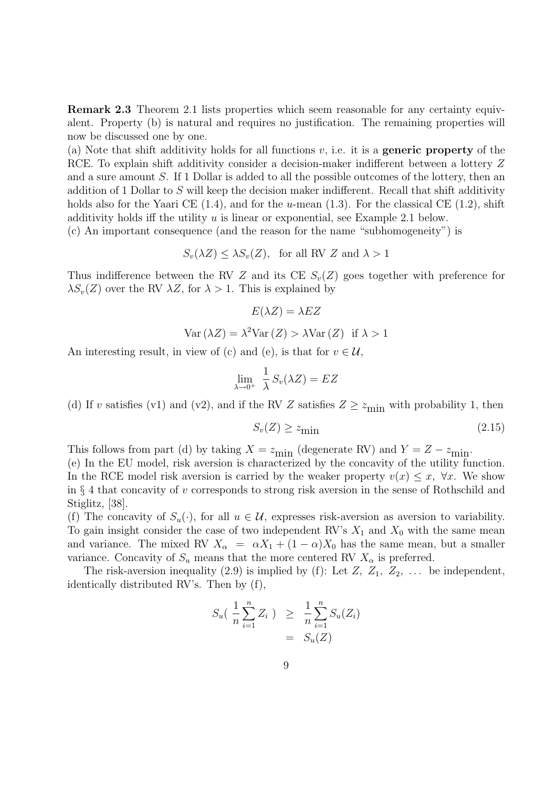Remark 2.3 Theorem 2.1 lists properties which seem reasonable for any certainty equivalent. Property (b) is natural and requires no justification. The remaining properties will now be discussed one by one.

(a) Note that shift additivity holds for all functions  $v$ , i.e. it is a **generic property** of the RCE. To explain shift additivity consider a decision-maker indifferent between a lottery Z and a sure amount S. If 1 Dollar is added to all the possible outcomes of the lottery, then an addition of 1 Dollar to S will keep the decision maker indifferent. Recall that shift additivity holds also for the Yaari CE  $(1.4)$ , and for the u-mean  $(1.3)$ . For the classical CE  $(1.2)$ , shift additivity holds iff the utility  $u$  is linear or exponential, see Example 2.1 below.

(c) An important consequence (and the reason for the name "subhomogeneity") is

$$
S_v(\lambda Z) \leq \lambda S_v(Z)
$$
, for all RV Z and  $\lambda > 1$ 

Thus indifference between the RV Z and its CE  $S_v(Z)$  goes together with preference for  $\lambda S_v(Z)$  over the RV  $\lambda Z$ , for  $\lambda > 1$ . This is explained by

$$
E(\lambda Z) = \lambda EZ
$$
  
Var $(\lambda Z) = \lambda^2 \text{Var}(Z) > \lambda \text{Var}(Z)$  if  $\lambda > 1$ 

An interesting result, in view of (c) and (e), is that for  $v \in \mathcal{U}$ ,

$$
\lim_{\lambda \to 0^+} \frac{1}{\lambda} S_v(\lambda Z) = EZ
$$

(d) If v satisfies (v1) and (v2), and if the RV Z satisfies  $Z \ge z_{\text{min}}$  with probability 1, then

$$
S_v(Z) \ge z_{\text{min}} \tag{2.15}
$$

This follows from part (d) by taking  $X = z_{\text{min}}$  (degenerate RV) and  $Y = Z - z_{\text{min}}$ .

(e) In the EU model, risk aversion is characterized by the concavity of the utility function. In the RCE model risk aversion is carried by the weaker property  $v(x) \leq x$ ,  $\forall x$ . We show in § 4 that concavity of v corresponds to strong risk aversion in the sense of Rothschild and Stiglitz, [38].

(f) The concavity of  $S_u(\cdot)$ , for all  $u \in \mathcal{U}$ , expresses risk-aversion as aversion to variability. To gain insight consider the case of two independent RV's  $X_1$  and  $X_0$  with the same mean and variance. The mixed RV  $X_{\alpha} = \alpha X_1 + (1 - \alpha)X_0$  has the same mean, but a smaller variance. Concavity of  $S_u$  means that the more centered RV  $X_\alpha$  is preferred.

The risk-aversion inequality (2.9) is implied by (f): Let  $Z$ ,  $Z_1$ ,  $Z_2$ , ... be independent, identically distributed RV's. Then by (f),

$$
S_u\left(\frac{1}{n}\sum_{i=1}^n Z_i\right) \geq \frac{1}{n}\sum_{i=1}^n S_u(Z_i) \\
= S_u(Z)
$$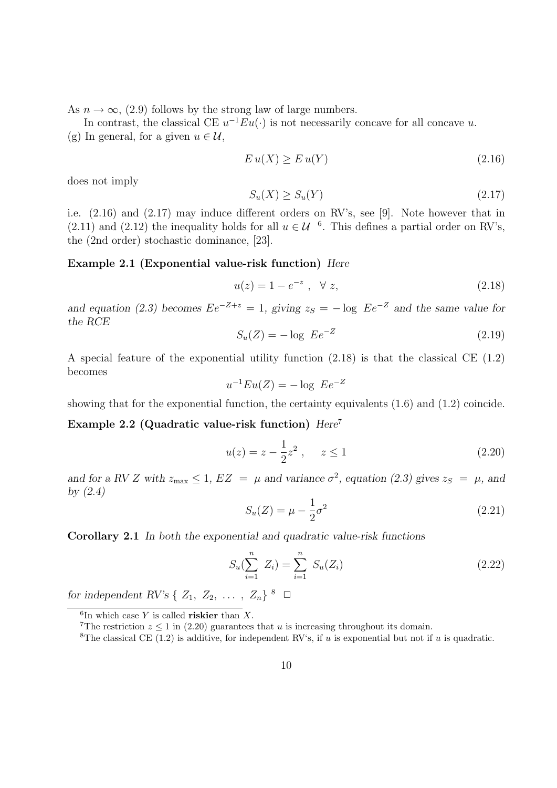As  $n \to \infty$ , (2.9) follows by the strong law of large numbers.

In contrast, the classical CE  $u^{-1}Eu(\cdot)$  is not necessarily concave for all concave u. (g) In general, for a given  $u \in \mathcal{U}$ ,

$$
E u(X) \ge E u(Y) \tag{2.16}
$$

does not imply

$$
S_u(X) \ge S_u(Y) \tag{2.17}
$$

i.e. (2.16) and (2.17) may induce different orders on RV's, see [9]. Note however that in (2.11) and (2.12) the inequality holds for all  $u \in \mathcal{U}$  <sup>6</sup>. This defines a partial order on RV's, the (2nd order) stochastic dominance, [23].

#### Example 2.1 (Exponential value-risk function) Here

$$
u(z) = 1 - e^{-z}, \quad \forall \ z,
$$
 (2.18)

and equation (2.3) becomes  $Ee^{-Z+z} = 1$ , giving  $z_S = -\log Ee^{-Z}$  and the same value for the RCE

$$
S_u(Z) = -\log \ E e^{-Z} \tag{2.19}
$$

A special feature of the exponential utility function (2.18) is that the classical CE (1.2) becomes

$$
u^{-1}Eu(Z) = -\log E e^{-Z}
$$

showing that for the exponential function, the certainty equivalents (1.6) and (1.2) coincide.

Example 2.2 (Quadratic value-risk function)  $Here<sup>7</sup>$ 

$$
u(z) = z - \frac{1}{2}z^2 , \quad z \le 1
$$
 (2.20)

and for a RV Z with  $z_{\text{max}} \leq 1$ ,  $EZ = \mu$  and variance  $\sigma^2$ , equation (2.3) gives  $z_S = \mu$ , and by  $(2.4)$ 

$$
S_u(Z) = \mu - \frac{1}{2}\sigma^2
$$
 (2.21)

Corollary 2.1 In both the exponential and quadratic value-risk functions

$$
S_u(\sum_{i=1}^n Z_i) = \sum_{i=1}^n S_u(Z_i)
$$
 (2.22)

for independent RV's  $\{Z_1, Z_2, \ldots, Z_n\}$ <sup>8</sup>  $\Box$ 

 ${}^6$ In which case Y is called **riskier** than X.

<sup>&</sup>lt;sup>7</sup>The restriction  $z \le 1$  in (2.20) guarantees that u is increasing throughout its domain.

<sup>&</sup>lt;sup>8</sup>The classical CE (1.2) is additive, for independent RV's, if u is exponential but not if u is quadratic.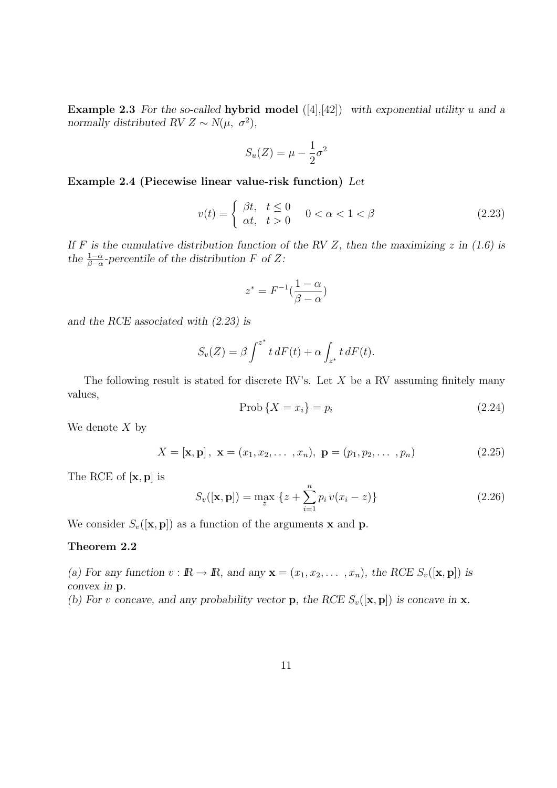**Example 2.3** For the so-called hybrid model  $([4],[42])$  with exponential utility u and a normally distributed RV  $Z \sim N(\mu, \sigma^2)$ ,

$$
S_u(Z) = \mu - \frac{1}{2}\sigma^2
$$

Example 2.4 (Piecewise linear value-risk function) Let

$$
v(t) = \begin{cases} \beta t, & t \le 0 \\ \alpha t, & t > 0 \end{cases} \quad 0 < \alpha < 1 < \beta \tag{2.23}
$$

If F is the cumulative distribution function of the RV Z, then the maximizing z in  $(1.6)$  is the  $\frac{1-\alpha}{\beta-\alpha}$ -percentile of the distribution F of Z:

$$
z^*=F^{-1}(\frac{1-\alpha}{\beta-\alpha})
$$

and the RCE associated with (2.23) is

$$
S_v(Z) = \beta \int^{z^*} t \, dF(t) + \alpha \int_{z^*} t \, dF(t).
$$

The following result is stated for discrete RV's. Let  $X$  be a RV assuming finitely many values,

$$
Prob\left\{X = x_i\right\} = p_i\tag{2.24}
$$

We denote  $X$  by

$$
X = [\mathbf{x}, \mathbf{p}], \ \mathbf{x} = (x_1, x_2, \dots, x_n), \ \mathbf{p} = (p_1, p_2, \dots, p_n)
$$
 (2.25)

The RCE of [x, p] is

$$
S_v([\mathbf{x}, \mathbf{p}]) = \max_{z} \left\{ z + \sum_{i=1}^{n} p_i v(x_i - z) \right\}
$$
 (2.26)

We consider  $S_v([\mathbf{x}, \mathbf{p}])$  as a function of the arguments **x** and **p**.

#### Theorem 2.2

(a) For any function  $v : \mathbb{R} \to \mathbb{R}$ , and any  $\mathbf{x} = (x_1, x_2, \dots, x_n)$ , the RCE  $S_v([\mathbf{x}, \mathbf{p}])$  is convex in p.

(b) For v concave, and any probability vector **p**, the RCE  $S_v([\mathbf{x}, \mathbf{p}])$  is concave in **x**.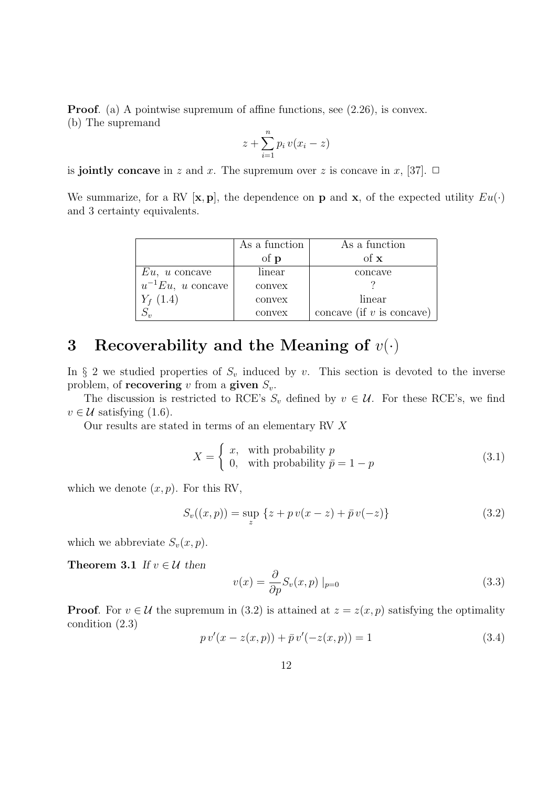**Proof.** (a) A pointwise supremum of affine functions, see  $(2.26)$ , is convex. (b) The supremand

$$
z + \sum_{i=1}^{n} p_i v(x_i - z)
$$

is jointly concave in z and x. The supremum over z is concave in x, [37].  $\Box$ 

We summarize, for a RV  $[\mathbf{x}, \mathbf{p}]$ , the dependence on **p** and **x**, of the expected utility  $Eu(\cdot)$ and 3 certainty equivalents.

|                        | As a function | As a function               |
|------------------------|---------------|-----------------------------|
|                        | of <b>p</b>   | of $\bf{x}$                 |
| $Eu, u$ concave        | linear        | concave                     |
| $u^{-1}Eu$ , u concave | convex        |                             |
| $Y_{f}$ (1.4)          | convex        | linear                      |
|                        | convex        | concave (if $v$ is concave) |

## 3 Recoverability and the Meaning of  $v(\cdot)$

In § 2 we studied properties of  $S_v$  induced by v. This section is devoted to the inverse problem, of **recovering** v from a **given**  $S_v$ .

The discussion is restricted to RCE's  $S_v$  defined by  $v \in \mathcal{U}$ . For these RCE's, we find  $v \in \mathcal{U}$  satisfying (1.6).

Our results are stated in terms of an elementary RV X

$$
X = \begin{cases} x, & \text{with probability } p \\ 0, & \text{with probability } \bar{p} = 1 - p \end{cases}
$$
 (3.1)

which we denote  $(x, p)$ . For this RV,

$$
S_v((x, p)) = \sup_{z} \{ z + p v(x - z) + \bar{p} v(-z) \}
$$
\n(3.2)

which we abbreviate  $S_v(x, p)$ .

**Theorem 3.1** If  $v \in \mathcal{U}$  then

$$
v(x) = \frac{\partial}{\partial p} S_v(x, p) \mid_{p=0}
$$
\n(3.3)

**Proof.** For  $v \in \mathcal{U}$  the supremum in (3.2) is attained at  $z = z(x, p)$  satisfying the optimality condition (2.3)

$$
p v'(x - z(x, p)) + \bar{p} v'(-z(x, p)) = 1
$$
\n(3.4)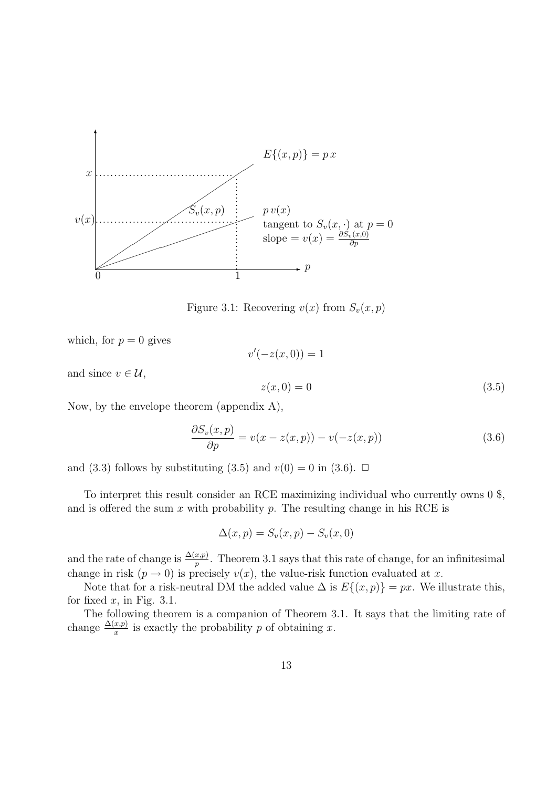

Figure 3.1: Recovering  $v(x)$  from  $S_v(x, p)$ 

 $v'(-z(x, 0)) = 1$ 

which, for  $p = 0$  gives

and since  $v \in \mathcal{U}$ ,

 $z(x, 0) = 0$  (3.5)

Now, by the envelope theorem (appendix A),

$$
\frac{\partial S_v(x, p)}{\partial p} = v(x - z(x, p)) - v(-z(x, p))\tag{3.6}
$$

and (3.3) follows by substituting (3.5) and  $v(0) = 0$  in (3.6).  $\Box$ 

To interpret this result consider an RCE maximizing individual who currently owns 0 \$, and is offered the sum  $x$  with probability  $p$ . The resulting change in his RCE is

$$
\Delta(x,p) = S_v(x,p) - S_v(x,0)
$$

and the rate of change is  $\frac{\Delta(x,p)}{p}$ . Theorem 3.1 says that this rate of change, for an infinitesimal change in risk  $(p \to 0)$  is precisely  $v(x)$ , the value-risk function evaluated at x.

Note that for a risk-neutral DM the added value  $\Delta$  is  $E\{(x, p)\} = px$ . We illustrate this, for fixed  $x$ , in Fig. 3.1.

The following theorem is a companion of Theorem 3.1. It says that the limiting rate of change  $\frac{\Delta(x,p)}{x}$  is exactly the probability p of obtaining x.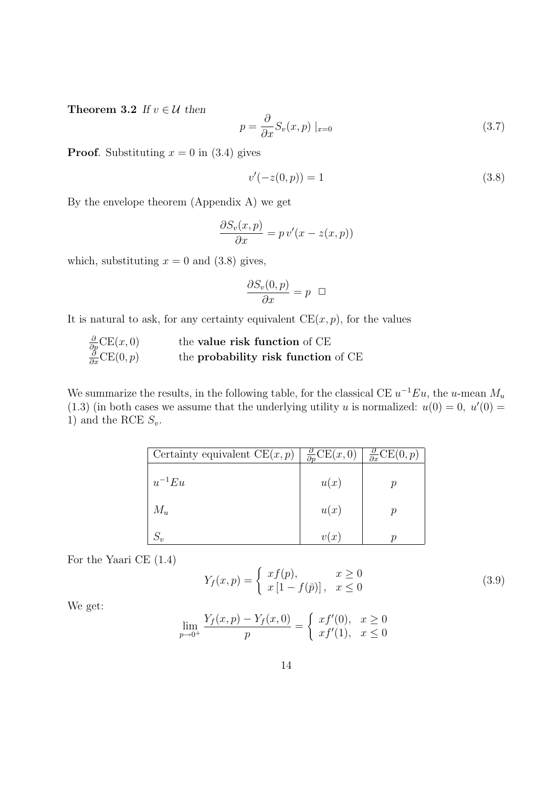Theorem 3.2 If  $v \in \mathcal{U}$  then

$$
p = \frac{\partial}{\partial x} S_v(x, p) \mid_{x=0} \tag{3.7}
$$

**Proof.** Substituting  $x = 0$  in (3.4) gives

$$
v'(-z(0, p)) = 1 \tag{3.8}
$$

By the envelope theorem (Appendix A) we get

$$
\frac{\partial S_v(x,p)}{\partial x} = p v'(x - z(x,p))
$$

which, substituting  $x = 0$  and  $(3.8)$  gives,

$$
\frac{\partial S_v(0, p)}{\partial x} = p \quad \Box
$$

It is natural to ask, for any certainty equivalent  $CE(x, p)$ , for the values

|                                                                                                | the <b>value risk function</b> of CE       |
|------------------------------------------------------------------------------------------------|--------------------------------------------|
| $\frac{\partial}{\partial p} \text{CE}(x, 0)$<br>$\frac{\partial}{\partial x} \text{CE}(0, p)$ | the <b>probability risk function</b> of CE |

We summarize the results, in the following table, for the classical CE  $u^{-1}Eu$ , the u-mean  $M_u$ (1.3) (in both cases we assume that the underlying utility u is normalized:  $u(0) = 0$ ,  $u'(0) = 0$ 1) and the RCE  $S_v$ .

| Certainty equivalent $CE(x, p)$ | $\frac{\partial}{\partial p}CE(x,0)$ | $\frac{\partial}{\partial x} \text{CE}(0, p)$ |
|---------------------------------|--------------------------------------|-----------------------------------------------|
| $u^{-1}Eu$                      | u(x)                                 |                                               |
| $M_u$                           | u(x)                                 |                                               |
| $S_v$                           | v(x)                                 |                                               |

For the Yaari CE (1.4)

$$
Y_f(x,p) = \begin{cases} xf(p), & x \ge 0\\ x[1 - f(\bar{p})], & x \le 0 \end{cases}
$$
\n(3.9)

We get:

$$
\lim_{p \to 0^+} \frac{Y_f(x, p) - Y_f(x, 0)}{p} = \begin{cases} x f'(0), & x \ge 0 \\ x f'(1), & x \le 0 \end{cases}
$$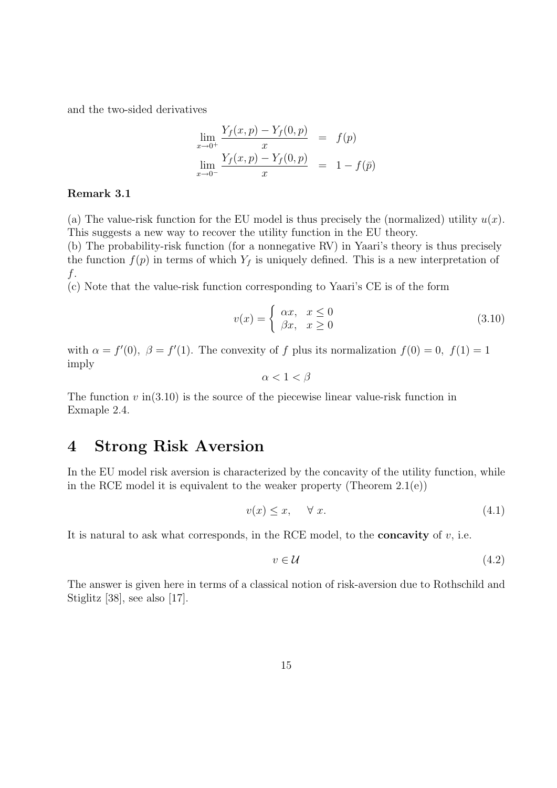and the two-sided derivatives

$$
\lim_{x \to 0^+} \frac{Y_f(x, p) - Y_f(0, p)}{x} = f(p)
$$
  

$$
\lim_{x \to 0^-} \frac{Y_f(x, p) - Y_f(0, p)}{x} = 1 - f(\bar{p})
$$

#### Remark 3.1

(a) The value-risk function for the EU model is thus precisely the (normalized) utility  $u(x)$ . This suggests a new way to recover the utility function in the EU theory.

(b) The probability-risk function (for a nonnegative RV) in Yaari's theory is thus precisely the function  $f(p)$  in terms of which  $Y_f$  is uniquely defined. This is a new interpretation of f.

(c) Note that the value-risk function corresponding to Yaari's CE is of the form

$$
v(x) = \begin{cases} \alpha x, & x \le 0 \\ \beta x, & x \ge 0 \end{cases}
$$
 (3.10)

with  $\alpha = f'(0)$ ,  $\beta = f'(1)$ . The convexity of f plus its normalization  $f(0) = 0$ ,  $f(1) = 1$ imply

 $\alpha < 1 < \beta$ 

The function  $v$  in  $(3.10)$  is the source of the piecewise linear value-risk function in Exmaple 2.4.

### 4 Strong Risk Aversion

In the EU model risk aversion is characterized by the concavity of the utility function, while in the RCE model it is equivalent to the weaker property (Theorem 2.1(e))

$$
v(x) \le x, \quad \forall x. \tag{4.1}
$$

It is natural to ask what corresponds, in the RCE model, to the **concavity** of  $v$ , i.e.

$$
v \in \mathcal{U} \tag{4.2}
$$

The answer is given here in terms of a classical notion of risk-aversion due to Rothschild and Stiglitz [38], see also [17].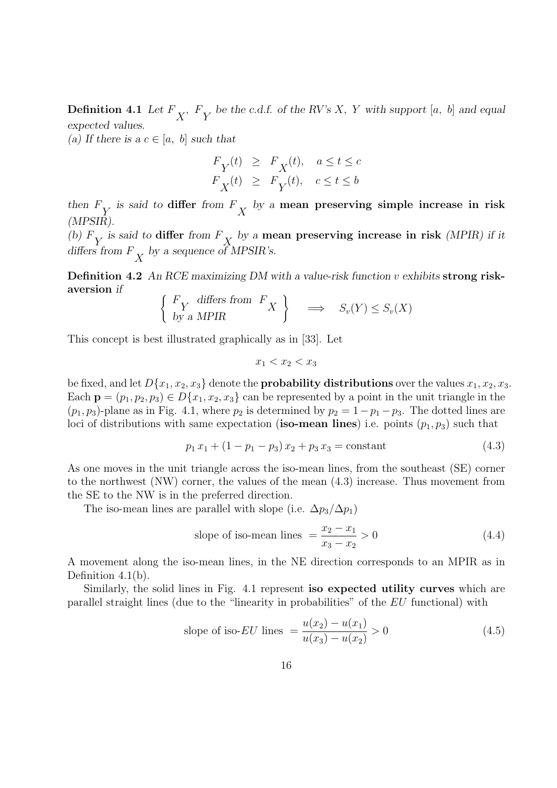**Definition 4.1** Let  $F_X$ ,  $F_Y$  be the c.d.f. of the RV's X, Y with support [a, b] and equal expected values.

(a) If there is a  $c \in [a, b]$  such that

$$
\begin{array}{lcl} F_Y(t) & \geq & F_X(t), \quad a \leq t \leq c \\ F_X(t) & \geq & F_Y(t), \quad c \leq t \leq b \end{array}
$$

then  $F_Y$  is said to differ from  $F_X$  by a mean preserving simple increase in risk (MPSIR).

(b)  $F_Y$  is said to differ from  $F_X$  by a mean preserving increase in risk (MPIR) if it differs from  $F_X$  by a sequence of MPSIR's.

Definition 4.2 An RCE maximizing DM with a value-risk function v exhibits strong riskaversion if

$$
\left\{ \begin{array}{l} F_Y \text{ differs from } F_X \\ \text{by a MPIR} \end{array} \right\} \implies S_v(Y) \le S_v(X)
$$

This concept is best illustrated graphically as in [33]. Let

$$
x_1 < x_2 < x_3
$$

be fixed, and let  $D\{x_1, x_2, x_3\}$  denote the **probability distributions** over the values  $x_1, x_2, x_3$ . Each  $\mathbf{p} = (p_1, p_2, p_3) \in D\{x_1, x_2, x_3\}$  can be represented by a point in the unit triangle in the  $(p_1, p_3)$ -plane as in Fig. 4.1, where  $p_2$  is determined by  $p_2 = 1-p_1-p_3$ . The dotted lines are loci of distributions with same expectation (iso-mean lines) i.e. points  $(p_1, p_3)$  such that

$$
p_1 x_1 + (1 - p_1 - p_3) x_2 + p_3 x_3 = \text{constant} \tag{4.3}
$$

As one moves in the unit triangle across the iso-mean lines, from the southeast (SE) corner to the northwest (NW) corner, the values of the mean (4.3) increase. Thus movement from the SE to the NW is in the preferred direction.

The iso-mean lines are parallel with slope (i.e.  $\Delta p_3/\Delta p_1$ )

slope of iso-mean lines 
$$
=
$$
  $\frac{x_2 - x_1}{x_3 - x_2} > 0$  (4.4)

A movement along the iso-mean lines, in the NE direction corresponds to an MPIR as in Definition 4.1(b).

Similarly, the solid lines in Fig. 4.1 represent iso expected utility curves which are parallel straight lines (due to the "linearity in probabilities" of the EU functional) with

slope of iso-*EU* lines 
$$
=\frac{u(x_2) - u(x_1)}{u(x_3) - u(x_2)} > 0
$$
 (4.5)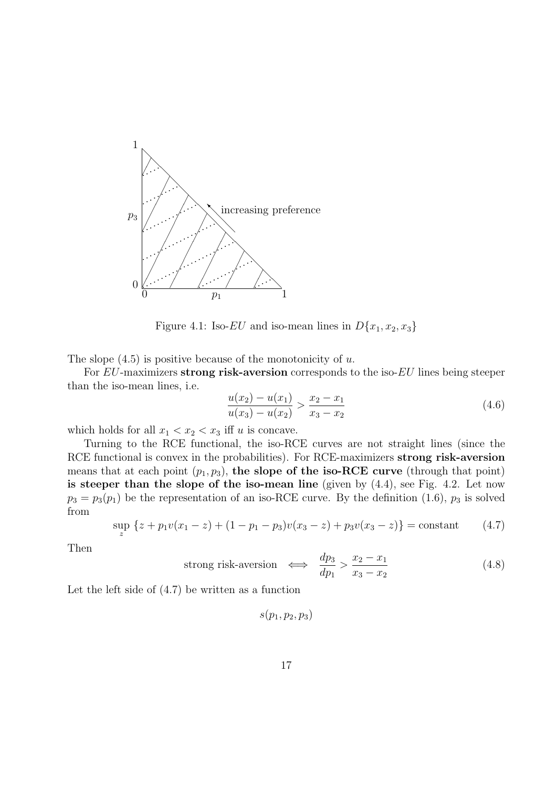

Figure 4.1: Iso-EU and iso-mean lines in  $D\{x_1, x_2, x_3\}$ 

The slope  $(4.5)$  is positive because of the monotonicity of u.

For EU-maximizers strong risk-aversion corresponds to the iso-EU lines being steeper than the iso-mean lines, i.e.

$$
\frac{u(x_2) - u(x_1)}{u(x_3) - u(x_2)} > \frac{x_2 - x_1}{x_3 - x_2} \tag{4.6}
$$

which holds for all  $x_1 < x_2 < x_3$  iff u is concave.

Turning to the RCE functional, the iso-RCE curves are not straight lines (since the RCE functional is convex in the probabilities). For RCE-maximizers strong risk-aversion means that at each point  $(p_1, p_3)$ , the slope of the iso-RCE curve (through that point) is steeper than the slope of the iso-mean line (given by  $(4.4)$ , see Fig. 4.2. Let now  $p_3 = p_3(p_1)$  be the representation of an iso-RCE curve. By the definition (1.6),  $p_3$  is solved from

$$
\sup_{z} \left\{ z + p_1 v(x_1 - z) + (1 - p_1 - p_3)v(x_3 - z) + p_3 v(x_3 - z) \right\} = \text{constant} \tag{4.7}
$$

Then

strong risk-aversion 
$$
\iff \frac{dp_3}{dp_1} > \frac{x_2 - x_1}{x_3 - x_2}
$$
 (4.8)

Let the left side of (4.7) be written as a function

$$
s(p_1, p_2, p_3)
$$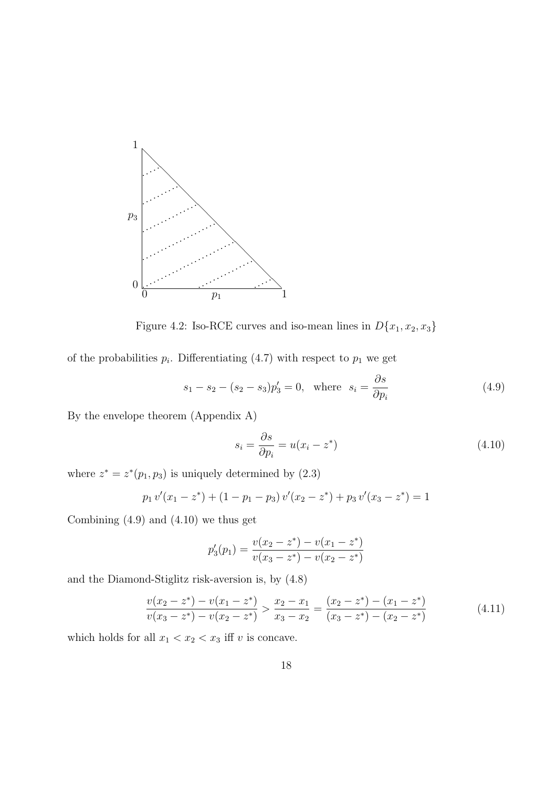

Figure 4.2: Iso-RCE curves and iso-mean lines in  $D\{x_1, x_2, x_3\}$ 

of the probabilities  $p_i$ . Differentiating (4.7) with respect to  $p_1$  we get

$$
s_1 - s_2 - (s_2 - s_3)p'_3 = 0
$$
, where  $s_i = \frac{\partial s}{\partial p_i}$  (4.9)

By the envelope theorem (Appendix A)

$$
s_i = \frac{\partial s}{\partial p_i} = u(x_i - z^*)
$$
\n(4.10)

where  $z^* = z^*(p_1, p_3)$  is uniquely determined by  $(2.3)$ 

$$
p_1 v'(x_1 - z^*) + (1 - p_1 - p_3) v'(x_2 - z^*) + p_3 v'(x_3 - z^*) = 1
$$

Combining  $(4.9)$  and  $(4.10)$  we thus get

$$
p_3'(p_1) = \frac{v(x_2 - z^*) - v(x_1 - z^*)}{v(x_3 - z^*) - v(x_2 - z^*)}
$$

and the Diamond-Stiglitz risk-aversion is, by (4.8)

$$
\frac{v(x_2 - z^*) - v(x_1 - z^*)}{v(x_3 - z^*) - v(x_2 - z^*)} > \frac{x_2 - x_1}{x_3 - x_2} = \frac{(x_2 - z^*) - (x_1 - z^*)}{(x_3 - z^*) - (x_2 - z^*)}
$$
(4.11)

which holds for all  $x_1 < x_2 < x_3$  iff v is concave.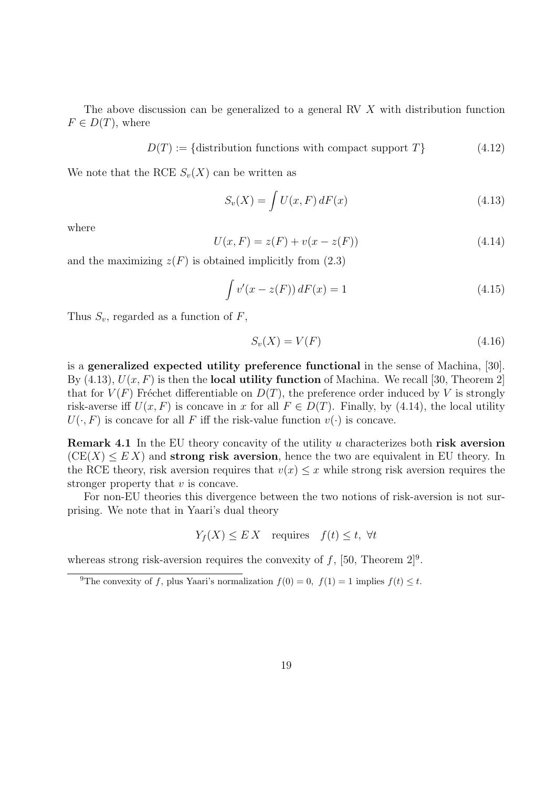The above discussion can be generalized to a general RV X with distribution function  $F \in D(T)$ , where

$$
D(T) := \{ \text{distribution functions with compact support } T \} \tag{4.12}
$$

We note that the RCE  $S_n(X)$  can be written as

$$
S_v(X) = \int U(x, F) dF(x) \tag{4.13}
$$

where

$$
U(x, F) = z(F) + v(x - z(F))
$$
\n(4.14)

and the maximizing  $z(F)$  is obtained implicitly from (2.3)

$$
\int v'(x - z(F)) dF(x) = 1
$$
\n(4.15)

Thus  $S_v$ , regarded as a function of F,

$$
S_v(X) = V(F) \tag{4.16}
$$

is a generalized expected utility preference functional in the sense of Machina, [30]. By  $(4.13)$ ,  $U(x, F)$  is then the **local utility function** of Machina. We recall [30, Theorem 2] that for  $V(F)$  Fréchet differentiable on  $D(T)$ , the preference order induced by V is strongly risk-averse iff  $U(x, F)$  is concave in x for all  $F \in D(T)$ . Finally, by (4.14), the local utility  $U(\cdot, F)$  is concave for all F iff the risk-value function  $v(\cdot)$  is concave.

**Remark 4.1** In the EU theory concavity of the utility u characterizes both risk aversion  $(CE(X) \leq EX)$  and **strong risk aversion**, hence the two are equivalent in EU theory. In the RCE theory, risk aversion requires that  $v(x) \leq x$  while strong risk aversion requires the stronger property that  $v$  is concave.

For non-EU theories this divergence between the two notions of risk-aversion is not surprising. We note that in Yaari's dual theory

 $Y_f(X) \leq E[X]$  requires  $f(t) \leq t$ ,  $\forall t$ 

whereas strong risk-aversion requires the convexity of  $f$ , [50, Theorem 2]<sup>9</sup>.

<sup>&</sup>lt;sup>9</sup>The convexity of f, plus Yaari's normalization  $f(0) = 0$ ,  $f(1) = 1$  implies  $f(t) \leq t$ .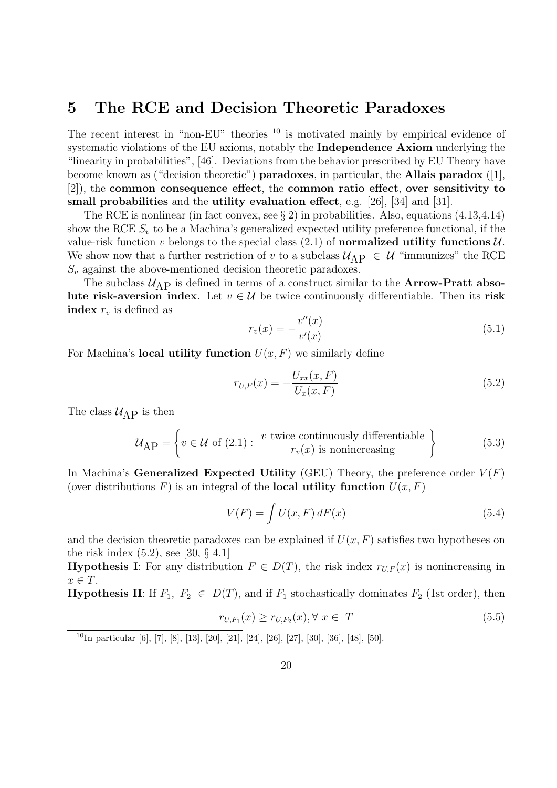### 5 The RCE and Decision Theoretic Paradoxes

The recent interest in "non-EU" theories <sup>10</sup> is motivated mainly by empirical evidence of systematic violations of the EU axioms, notably the Independence Axiom underlying the "linearity in probabilities", [46]. Deviations from the behavior prescribed by EU Theory have become known as ("decision theoretic") **paradoxes**, in particular, the **Allais paradox** ([1], [2]), the common consequence effect, the common ratio effect, over sensitivity to small probabilities and the utility evaluation effect, e.g. [26], [34] and [31].

The RCE is nonlinear (in fact convex, see  $\S 2$ ) in probabilities. Also, equations (4.13,4.14) show the RCE  $S_v$  to be a Machina's generalized expected utility preference functional, if the value-risk function v belongs to the special class  $(2.1)$  of normalized utility functions  $\mathcal{U}$ . We show now that a further restriction of v to a subclass  $\mathcal{U}_{AP} \in \mathcal{U}$  "immunizes" the RCE  $S_v$  against the above-mentioned decision theoretic paradoxes.

The subclass  $U_{\rm AP}$  is defined in terms of a construct similar to the **Arrow-Pratt abso**lute risk-aversion index. Let  $v \in \mathcal{U}$  be twice continuously differentiable. Then its risk index  $r_v$  is defined as

$$
r_v(x) = -\frac{v''(x)}{v'(x)}
$$
(5.1)

For Machina's **local utility function**  $U(x, F)$  we similarly define

$$
r_{U,F}(x) = -\frac{U_{xx}(x,F)}{U_x(x,F)}
$$
\n(5.2)

The class  $\mathcal{U}_{\text{AP}}$  is then

$$
\mathcal{U}_{\text{AP}} = \left\{ v \in \mathcal{U} \text{ of } (2.1): \begin{array}{c} v \text{ twice continuously differentiable} \\ r_v(x) \text{ is nonincreasing} \end{array} \right\} \tag{5.3}
$$

In Machina's Generalized Expected Utility (GEU) Theory, the preference order  $V(F)$ (over distributions F) is an integral of the **local utility function**  $U(x, F)$ 

$$
V(F) = \int U(x, F) dF(x)
$$
\n(5.4)

and the decision theoretic paradoxes can be explained if  $U(x, F)$  satisfies two hypotheses on the risk index  $(5.2)$ , see [30, § 4.1]

**Hypothesis I:** For any distribution  $F \in D(T)$ , the risk index  $r_{U,F}(x)$  is nonincreasing in  $x \in T$ .

**Hypothesis II:** If  $F_1$ ,  $F_2 \in D(T)$ , and if  $F_1$  stochastically dominates  $F_2$  (1st order), then

$$
r_{U,F_1}(x) \ge r_{U,F_2}(x), \forall x \in T
$$
\n(5.5)

<sup>10</sup>In particular [6], [7], [8], [13], [20], [21], [24], [26], [27], [30], [36], [48], [50].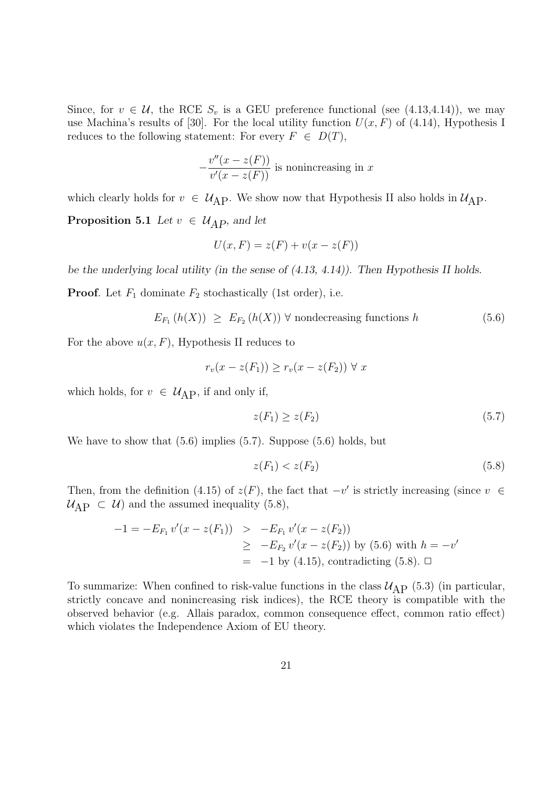Since, for  $v \in \mathcal{U}$ , the RCE  $S_v$  is a GEU preference functional (see (4.13,4.14)), we may use Machina's results of [30]. For the local utility function  $U(x, F)$  of (4.14), Hypothesis I reduces to the following statement: For every  $F \in D(T)$ ,

$$
-\frac{v''(x-z(F))}{v'(x-z(F))}
$$
 is nonincreasing in x

which clearly holds for  $v \in \mathcal{U}_{AP}$ . We show now that Hypothesis II also holds in  $\mathcal{U}_{AP}$ .

**Proposition 5.1** Let  $v \in \mathcal{U}_{AP}$ , and let

$$
U(x, F) = z(F) + v(x - z(F))
$$

be the underlying local utility (in the sense of (4.13, 4.14)). Then Hypothesis II holds.

**Proof.** Let  $F_1$  dominate  $F_2$  stochastically (1st order), i.e.

$$
E_{F_1}(h(X)) \geq E_{F_2}(h(X)) \,\forall \text{ nondecreasing functions } h \tag{5.6}
$$

For the above  $u(x, F)$ , Hypothesis II reduces to

$$
r_v(x - z(F_1)) \ge r_v(x - z(F_2)) \ \forall \ x
$$

which holds, for  $v \in \mathcal{U}_{\text{AP}}$ , if and only if,

$$
z(F_1) \ge z(F_2) \tag{5.7}
$$

We have to show that  $(5.6)$  implies  $(5.7)$ . Suppose  $(5.6)$  holds, but

$$
z(F_1) < z(F_2) \tag{5.8}
$$

Then, from the definition (4.15) of  $z(F)$ , the fact that  $-v'$  is strictly increasing (since  $v \in$  $U_{\rm AP} \subset U$  and the assumed inequality (5.8),

$$
-1 = -E_{F_1} v'(x - z(F_1)) > -E_{F_1} v'(x - z(F_2))
$$
  
\n
$$
\geq -E_{F_2} v'(x - z(F_2)) \text{ by (5.6) with } h = -v'
$$
  
\n
$$
= -1 \text{ by (4.15), contradicting (5.8). } \square
$$

To summarize: When confined to risk-value functions in the class  $U_{\rm AP}$  (5.3) (in particular, strictly concave and nonincreasing risk indices), the RCE theory is compatible with the observed behavior (e.g. Allais paradox, common consequence effect, common ratio effect) which violates the Independence Axiom of EU theory.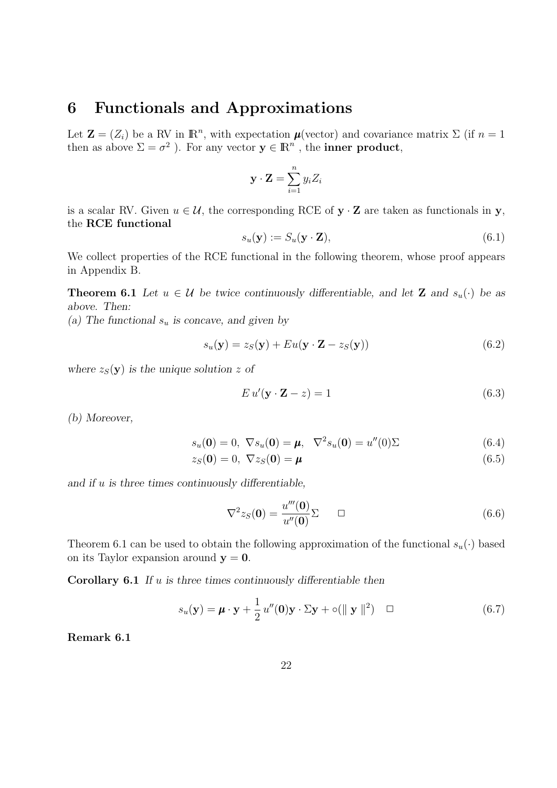### 6 Functionals and Approximations

Let  $\mathbf{Z} = (Z_i)$  be a RV in  $\mathbb{R}^n$ , with expectation  $\boldsymbol{\mu}$ (vector) and covariance matrix  $\Sigma$  (if  $n = 1$ ) then as above  $\Sigma = \sigma^2$  ). For any vector  $y \in \mathbb{R}^n$ , the **inner product**,

$$
\mathbf{y} \cdot \mathbf{Z} = \sum_{i=1}^{n} y_i Z_i
$$

is a scalar RV. Given  $u \in \mathcal{U}$ , the corresponding RCE of  $y \cdot Z$  are taken as functionals in y, the RCE functional

$$
s_u(\mathbf{y}) := S_u(\mathbf{y} \cdot \mathbf{Z}),\tag{6.1}
$$

We collect properties of the RCE functional in the following theorem, whose proof appears in Appendix B.

**Theorem 6.1** Let  $u \in \mathcal{U}$  be twice continuously differentiable, and let **Z** and  $s_u(\cdot)$  be as above. Then:

(a) The functional  $s_u$  is concave, and given by

$$
s_u(\mathbf{y}) = z_S(\mathbf{y}) + Eu(\mathbf{y} \cdot \mathbf{Z} - z_S(\mathbf{y}))
$$
\n(6.2)

where  $z_S(y)$  is the unique solution z of

$$
E u'(\mathbf{y} \cdot \mathbf{Z} - z) = 1 \tag{6.3}
$$

(b) Moreover,

$$
s_u(\mathbf{0}) = 0, \ \nabla s_u(\mathbf{0}) = \mu, \ \nabla^2 s_u(\mathbf{0}) = u''(0)\Sigma
$$
\n(6.4)

$$
z_S(\mathbf{0}) = 0, \ \nabla z_S(\mathbf{0}) = \boldsymbol{\mu} \tag{6.5}
$$

and if  $u$  is three times continuously differentiable,

$$
\nabla^2 z_S(\mathbf{0}) = \frac{u'''(\mathbf{0})}{u''(\mathbf{0})} \Sigma \qquad \Box \tag{6.6}
$$

Theorem 6.1 can be used to obtain the following approximation of the functional  $s_u(\cdot)$  based on its Taylor expansion around  $y = 0$ .

**Corollary 6.1** If  $u$  is three times continuously differentiable then

$$
s_u(\mathbf{y}) = \boldsymbol{\mu} \cdot \mathbf{y} + \frac{1}{2} u''(\mathbf{0}) \mathbf{y} \cdot \Sigma \mathbf{y} + o(\Vert \mathbf{y} \Vert^2) \quad \Box \tag{6.7}
$$

Remark 6.1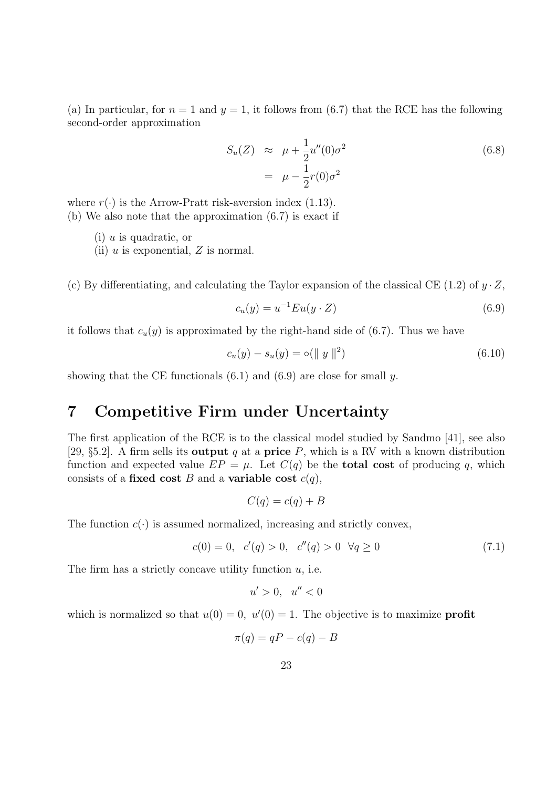(a) In particular, for  $n = 1$  and  $y = 1$ , it follows from (6.7) that the RCE has the following second-order approximation

$$
S_u(Z) \approx \mu + \frac{1}{2}u''(0)\sigma^2
$$
  
= 
$$
\mu - \frac{1}{2}r(0)\sigma^2
$$
 (6.8)

where  $r(\cdot)$  is the Arrow-Pratt risk-aversion index (1.13). (b) We also note that the approximation (6.7) is exact if

 $(i)$  u is quadratic, or

(ii)  $u$  is exponential,  $Z$  is normal.

(c) By differentiating, and calculating the Taylor expansion of the classical CE (1.2) of  $y \cdot Z$ ,

$$
c_u(y) = u^{-1} E u(y \cdot Z) \tag{6.9}
$$

it follows that  $c_u(y)$  is approximated by the right-hand side of (6.7). Thus we have

$$
c_u(y) - s_u(y) = o(||y||^2)
$$
\n(6.10)

showing that the CE functionals  $(6.1)$  and  $(6.9)$  are close for small y.

### 7 Competitive Firm under Uncertainty

The first application of the RCE is to the classical model studied by Sandmo [41], see also [29, §5.2]. A firm sells its **output** q at a **price** P, which is a RV with a known distribution function and expected value  $EP = \mu$ . Let  $C(q)$  be the **total cost** of producing q, which consists of a fixed cost B and a variable cost  $c(q)$ ,

$$
C(q) = c(q) + B
$$

The function  $c(\cdot)$  is assumed normalized, increasing and strictly convex,

$$
c(0) = 0, \quad c'(q) > 0, \quad c''(q) > 0 \quad \forall q \ge 0 \tag{7.1}
$$

The firm has a strictly concave utility function  $u$ , i.e.

$$
u' > 0, \quad u'' < 0
$$

which is normalized so that  $u(0) = 0$ ,  $u'(0) = 1$ . The objective is to maximize **profit** 

$$
\pi(q) = qP - c(q) - B
$$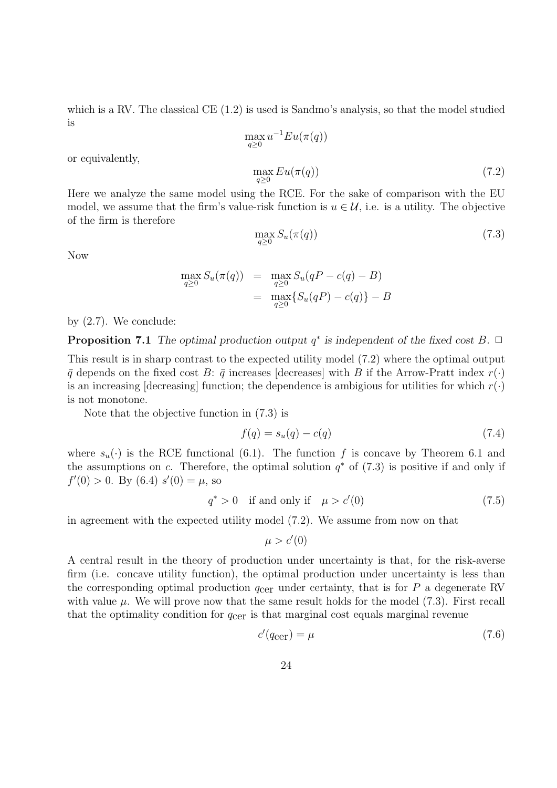which is a RV. The classical  $CE(1.2)$  is used is Sandmo's analysis, so that the model studied is

$$
\max_{q\geq 0} u^{-1} E u(\pi(q))
$$
  

$$
\max_{q\geq 0} E u(\pi(q))
$$
 (7.2)

or equivalently,

Here we analyze the same model using the RCE. For the sake of comparison with the EU model, we assume that the firm's value-risk function is  $u \in \mathcal{U}$ , i.e. is a utility. The objective of the firm is therefore

$$
\max_{q\geq 0} S_u(\pi(q))\tag{7.3}
$$

Now

$$
\max_{q\geq 0} S_u(\pi(q)) = \max_{q\geq 0} S_u(qP - c(q) - B)
$$
  
= 
$$
\max_{q\geq 0} \{ S_u(qP) - c(q) \} - B
$$

by (2.7). We conclude:

**Proposition 7.1** The optimal production output  $q^*$  is independent of the fixed cost B.  $\Box$ 

This result is in sharp contrast to the expected utility model (7.2) where the optimal output  $\bar{q}$  depends on the fixed cost B:  $\bar{q}$  increases [decreases] with B if the Arrow-Pratt index  $r(\cdot)$ is an increasing [decreasing] function; the dependence is ambigious for utilities for which  $r(\cdot)$ is not monotone.

Note that the objective function in (7.3) is

$$
f(q) = s_u(q) - c(q) \tag{7.4}
$$

where  $s_u(\cdot)$  is the RCE functional (6.1). The function f is concave by Theorem 6.1 and the assumptions on c. Therefore, the optimal solution  $q^*$  of (7.3) is positive if and only if  $f'(0) > 0$ . By  $(6.4) s'(0) = \mu$ , so

$$
q^* > 0 \quad \text{if and only if} \quad \mu > c'(0) \tag{7.5}
$$

in agreement with the expected utility model (7.2). We assume from now on that

$$
\mu > c'(0)
$$

A central result in the theory of production under uncertainty is that, for the risk-averse firm (i.e. concave utility function), the optimal production under uncertainty is less than the corresponding optimal production  $q_{\text{cer}}$  under certainty, that is for P a degenerate RV with value  $\mu$ . We will prove now that the same result holds for the model (7.3). First recall that the optimality condition for  $q_{\text{cer}}$  is that marginal cost equals marginal revenue

$$
c'(q_{\text{cer}}) = \mu \tag{7.6}
$$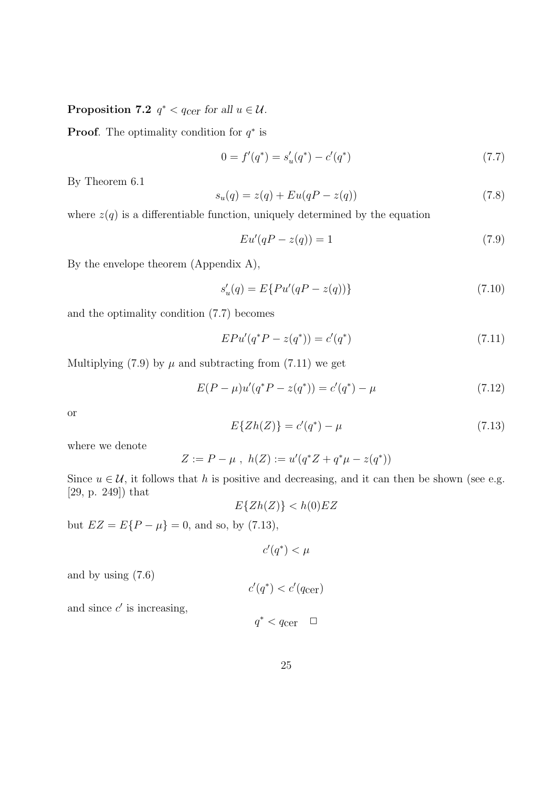Proposition 7.2  $q^* < q_{\text{cer}}$  for all  $u \in \mathcal{U}$ .

**Proof.** The optimality condition for  $q^*$  is

$$
0 = f'(q^*) = s'_u(q^*) - c'(q^*)
$$
\n(7.7)

By Theorem 6.1

$$
s_u(q) = z(q) + Eu(qP - z(q))
$$
\n(7.8)

where  $z(q)$  is a differentiable function, uniquely determined by the equation

$$
Eu'(qP - z(q)) = 1\tag{7.9}
$$

By the envelope theorem (Appendix A),

$$
s_u'(q) = E\{Pu'(qP - z(q))\}
$$
\n(7.10)

and the optimality condition (7.7) becomes

$$
EPu'(q^*P - z(q^*)) = c'(q^*)
$$
\n(7.11)

Multiplying (7.9) by  $\mu$  and subtracting from (7.11) we get

$$
E(P - \mu)u'(q^*P - z(q^*)) = c'(q^*) - \mu \tag{7.12}
$$

or

$$
E\{Zh(Z)\} = c'(q^*) - \mu \tag{7.13}
$$

where we denote

$$
Z := P - \mu , h(Z) := u'(q^*Z + q^*\mu - z(q^*))
$$

Since  $u \in \mathcal{U}$ , it follows that h is positive and decreasing, and it can then be shown (see e.g. [29, p. 249]) that

 $E{Zh(Z)} < h(0)EZ$ 

but  $EZ = E\{P - \mu\} = 0$ , and so, by (7.13),

 $c'(q^*) < \mu$ 

and by using (7.6)

$$
c'(q^*) < c'(q_{\text{cer}})
$$

and since  $c'$  is increasing,

$$
q^* < q_{\rm{cer}} \quad \Box
$$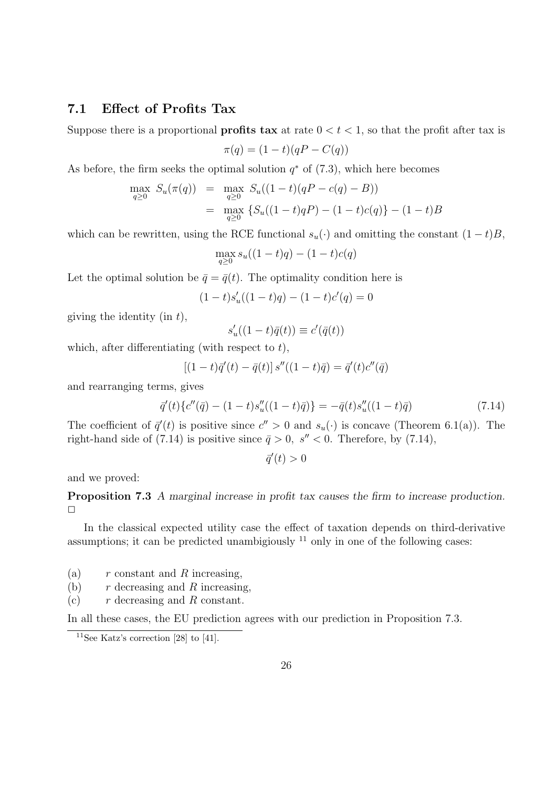#### 7.1 Effect of Profits Tax

Suppose there is a proportional **profits tax** at rate  $0 < t < 1$ , so that the profit after tax is

$$
\pi(q) = (1 - t)(qP - C(q))
$$

As before, the firm seeks the optimal solution  $q^*$  of  $(7.3)$ , which here becomes

$$
\max_{q\geq 0} S_u(\pi(q)) = \max_{q\geq 0} S_u((1-t)(qP - c(q) - B))
$$
  
= 
$$
\max_{q\geq 0} \{ S_u((1-t)qP) - (1-t)c(q) \} - (1-t)B
$$

which can be rewritten, using the RCE functional  $s_u(\cdot)$  and omitting the constant  $(1-t)B$ ,

$$
\max_{q \ge 0} s_u((1-t)q) - (1-t)c(q)
$$

Let the optimal solution be  $\bar{q} = \bar{q}(t)$ . The optimality condition here is

$$
(1-t)s'_u((1-t)q) - (1-t)c'(q) = 0
$$

giving the identity (in  $t$ ),

$$
s_u'((1-t)\bar q(t))\equiv c'(\bar q(t))
$$

which, after differentiating (with respect to  $t$ ),

$$
[(1-t)\vec{q}'(t) - \vec{q}(t)]s''((1-t)\vec{q}) = \vec{q}'(t)c''(\vec{q})
$$

and rearranging terms, gives

$$
\bar{q}'(t)\{c''(\bar{q}) - (1-t)s_u''((1-t)\bar{q})\} = -\bar{q}(t)s_u''((1-t)\bar{q})\tag{7.14}
$$

The coefficient of  $\bar{q}'(t)$  is positive since  $c'' > 0$  and  $s_u(\cdot)$  is concave (Theorem 6.1(a)). The right-hand side of (7.14) is positive since  $\bar{q} > 0$ , s'' < 0. Therefore, by (7.14),

$$
\bar{q}'(t) > 0
$$

and we proved:

Proposition 7.3 A marginal increase in profit tax causes the firm to increase production.  $\Box$ 

In the classical expected utility case the effect of taxation depends on third-derivative assumptions; it can be predicted unambigiously  $^{11}$  only in one of the following cases:

(a)  $r$  constant and R increasing,

- (b)  $r$  decreasing and R increasing,
- (c)  $r$  decreasing and R constant.

In all these cases, the EU prediction agrees with our prediction in Proposition 7.3.

<sup>&</sup>lt;sup>11</sup>See Katz's correction [28] to [41].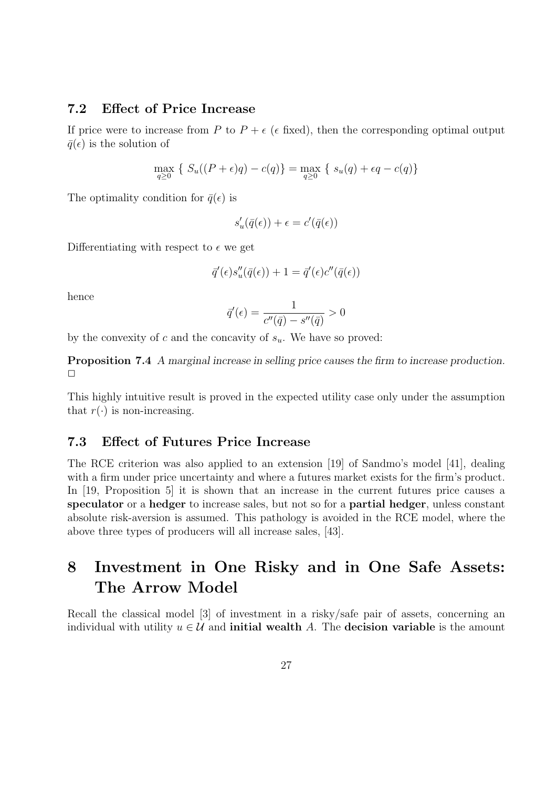#### 7.2 Effect of Price Increase

If price were to increase from P to  $P + \epsilon$  ( $\epsilon$  fixed), then the corresponding optimal output  $\bar{q}(\epsilon)$  is the solution of

$$
\max_{q \ge 0} \{ S_u((P + \epsilon)q) - c(q) \} = \max_{q \ge 0} \{ s_u(q) + \epsilon q - c(q) \}
$$

The optimality condition for  $\bar{q}(\epsilon)$  is

$$
s'_u(\bar q(\epsilon))+\epsilon=c'(\bar q(\epsilon))
$$

Differentiating with respect to  $\epsilon$  we get

$$
\bar{q}'(\epsilon)s''_u(\bar{q}(\epsilon)) + 1 = \bar{q}'(\epsilon)c''(\bar{q}(\epsilon))
$$

hence

$$
\bar{q}'(\epsilon) = \frac{1}{c''(\bar{q}) - s''(\bar{q})} > 0
$$

by the convexity of c and the concavity of  $s_u$ . We have so proved:

Proposition 7.4 A marginal increase in selling price causes the firm to increase production.  $\Box$ 

This highly intuitive result is proved in the expected utility case only under the assumption that  $r(\cdot)$  is non-increasing.

#### 7.3 Effect of Futures Price Increase

The RCE criterion was also applied to an extension [19] of Sandmo's model [41], dealing with a firm under price uncertainty and where a futures market exists for the firm's product. In [19, Proposition 5] it is shown that an increase in the current futures price causes a speculator or a hedger to increase sales, but not so for a partial hedger, unless constant absolute risk-aversion is assumed. This pathology is avoided in the RCE model, where the above three types of producers will all increase sales, [43].

## 8 Investment in One Risky and in One Safe Assets: The Arrow Model

Recall the classical model [3] of investment in a risky/safe pair of assets, concerning an individual with utility  $u \in \mathcal{U}$  and **initial wealth** A. The decision variable is the amount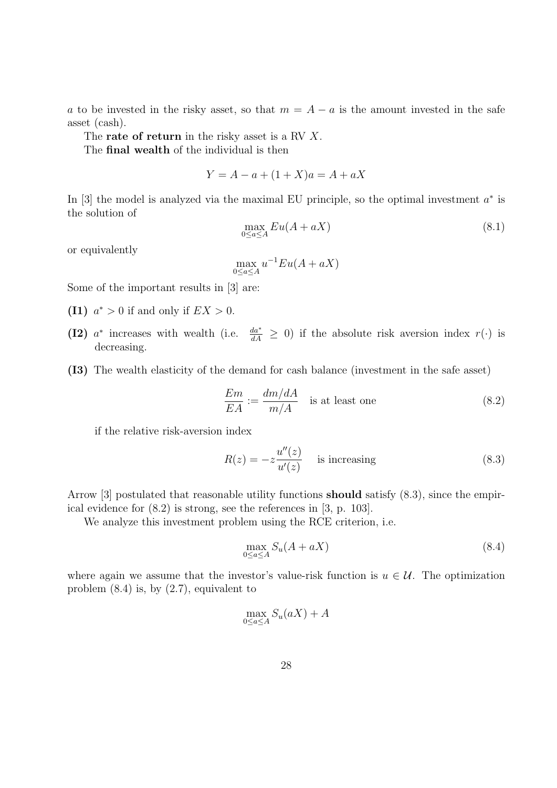a to be invested in the risky asset, so that  $m = A - a$  is the amount invested in the safe asset (cash).

The **rate of return** in the risky asset is a RV X.

The final wealth of the individual is then

$$
Y = A - a + (1 + X)a = A + aX
$$

In [3] the model is analyzed via the maximal EU principle, so the optimal investment  $a^*$  is the solution of

$$
\max_{0 \le a \le A} Eu(A + aX) \tag{8.1}
$$

or equivalently

$$
\max_{0 \le a \le A} u^{-1} E u(A + aX)
$$

Some of the important results in [3] are:

- (I1)  $a^* > 0$  if and only if  $EX > 0$ .
- (I2)  $a^*$  increases with wealth (i.e.  $\frac{da^*}{dA}$  $\frac{da^*}{dA} \geq 0$ ) if the absolute risk aversion index  $r(\cdot)$  is decreasing.
- (I3) The wealth elasticity of the demand for cash balance (investment in the safe asset)

$$
\frac{Em}{EA} := \frac{dm/dA}{m/A}
$$
 is at least one (8.2)

if the relative risk-aversion index

$$
R(z) = -z \frac{u''(z)}{u'(z)} \quad \text{is increasing} \tag{8.3}
$$

Arrow [3] postulated that reasonable utility functions should satisfy (8.3), since the empirical evidence for (8.2) is strong, see the references in [3, p. 103].

We analyze this investment problem using the RCE criterion, i.e.

$$
\max_{0 \le a \le A} S_u(A + aX) \tag{8.4}
$$

where again we assume that the investor's value-risk function is  $u \in \mathcal{U}$ . The optimization problem (8.4) is, by (2.7), equivalent to

$$
\max_{0 \le a \le A} S_u(aX) + A
$$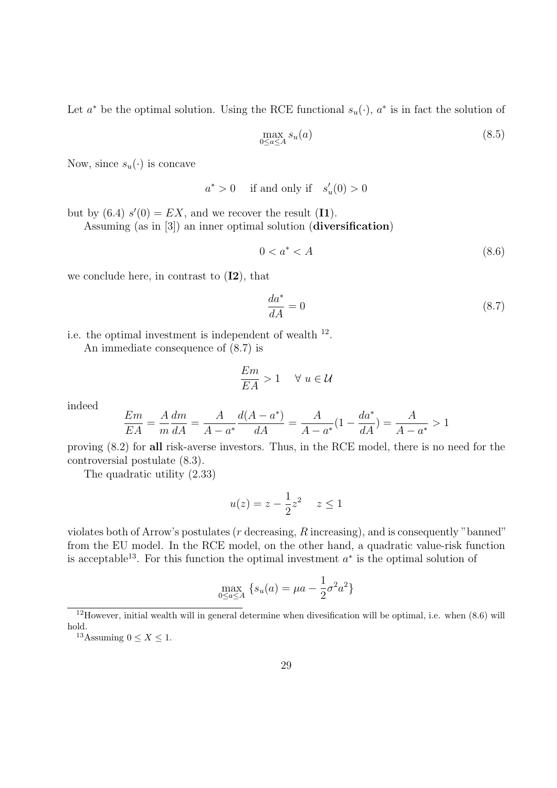Let  $a^*$  be the optimal solution. Using the RCE functional  $s_u(\cdot)$ ,  $a^*$  is in fact the solution of

$$
\max_{0 \le a \le A} s_u(a) \tag{8.5}
$$

Now, since  $s_u(\cdot)$  is concave

 $a^* > 0$  if and only if  $s'_u(0) > 0$ 

but by  $(6.4)$   $s'(0) = EX$ , and we recover the result  $(11)$ .

Assuming (as in [3]) an inner optimal solution (diversification)

$$
0 < a^* < A \tag{8.6}
$$

we conclude here, in contrast to  $(I2)$ , that

$$
\frac{da^*}{dA} = 0\tag{8.7}
$$

i.e. the optimal investment is independent of wealth  $^{12}$ .

An immediate consequence of (8.7) is

$$
\frac{E m}{E A}>1 \quad \ \forall \; u \in \mathcal{U}
$$

indeed

$$
\frac{Em}{EA} = \frac{A}{m}\frac{dm}{dA} = \frac{A}{A - a^*}\frac{d(A - a^*)}{dA} = \frac{A}{A - a^*}(1 - \frac{da^*}{dA}) = \frac{A}{A - a^*} > 1
$$

proving (8.2) for all risk-averse investors. Thus, in the RCE model, there is no need for the controversial postulate (8.3).

The quadratic utility (2.33)

$$
u(z) = z - \frac{1}{2}z^2 \quad z \le 1
$$

violates both of Arrow's postulates ( $r$  decreasing,  $R$  increasing), and is consequently "banned" from the EU model. In the RCE model, on the other hand, a quadratic value-risk function is acceptable<sup>13</sup>. For this function the optimal investment  $a^*$  is the optimal solution of

$$
\max_{0 \le a \le A} \left\{ s_u(a) = \mu a - \frac{1}{2} \sigma^2 a^2 \right\}
$$

 $12$ However, initial wealth will in general determine when divesification will be optimal, i.e. when (8.6) will hold.

<sup>&</sup>lt;sup>13</sup>Assuming  $0 \leq X \leq 1$ .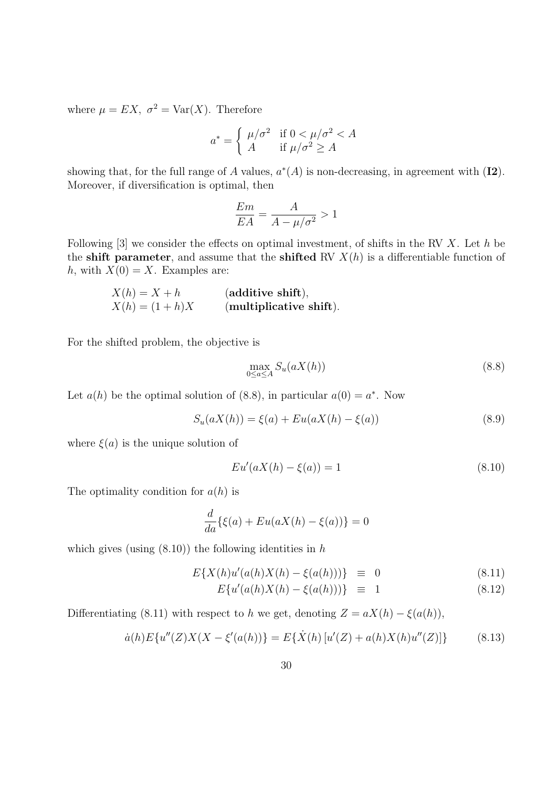where  $\mu = EX$ ,  $\sigma^2 = \text{Var}(X)$ . Therefore

$$
a^* = \begin{cases} \mu/\sigma^2 & \text{if } 0 < \mu/\sigma^2 < A \\ A & \text{if } \mu/\sigma^2 \ge A \end{cases}
$$

showing that, for the full range of A values,  $a^*(A)$  is non-decreasing, in agreement with  $(I2)$ . Moreover, if diversification is optimal, then

$$
\frac{Em}{EA} = \frac{A}{A - \mu/\sigma^2} > 1
$$

Following  $[3]$  we consider the effects on optimal investment, of shifts in the RV X. Let h be the shift parameter, and assume that the shifted RV  $X(h)$  is a differentiable function of h, with  $X(0) = X$ . Examples are:

$$
X(h) = X + h
$$
 (additive shift),  

$$
X(h) = (1 + h)X
$$
 (multiplicative shift).

For the shifted problem, the objective is

$$
\max_{0 \le a \le A} S_u(aX(h)) \tag{8.8}
$$

Let  $a(h)$  be the optimal solution of (8.8), in particular  $a(0) = a^*$ . Now

$$
S_u(aX(h)) = \xi(a) + Eu(aX(h) - \xi(a))
$$
\n(8.9)

where  $\xi(a)$  is the unique solution of

$$
Eu'(aX(h) - \xi(a)) = 1
$$
\n(8.10)

The optimality condition for  $a(h)$  is

$$
\frac{d}{da}\{\xi(a) + Eu(aX(h) - \xi(a))\} = 0
$$

which gives (using  $(8.10)$ ) the following identities in h

$$
E\{X(h)u'(a(h)X(h) - \xi(a(h)))\} \equiv 0 \tag{8.11}
$$

$$
E\{u'(a(h)X(h) - \xi(a(h)))\} \equiv 1 \tag{8.12}
$$

Differentiating (8.11) with respect to h we get, denoting  $Z = aX(h) - \xi(a(h))$ ,

$$
\dot{a}(h)E\{u''(Z)X(X-\xi'(a(h))\}=E\{\dot{X}(h)[u'(Z)+a(h)X(h)u''(Z)]\}\tag{8.13}
$$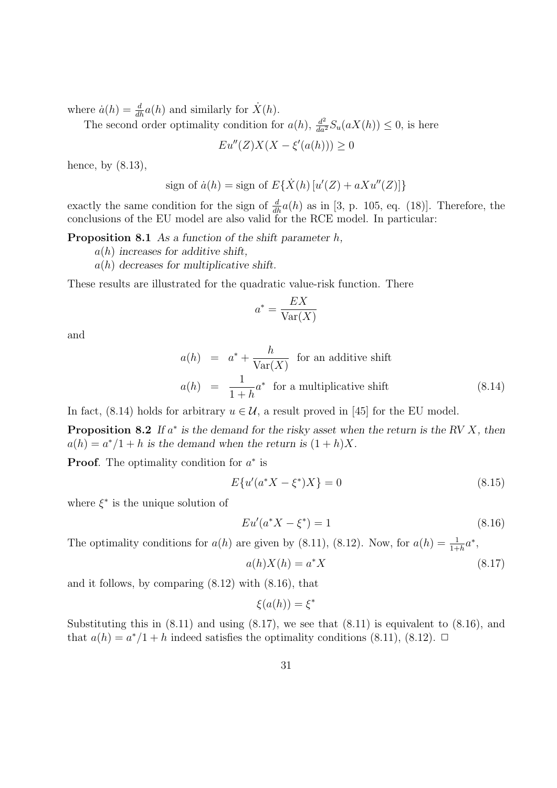where  $\dot{a}(h) = \frac{d}{dh}a(h)$  and similarly for  $\dot{X}(h)$ .

The second order optimality condition for  $a(h)$ ,  $\frac{d^2}{da^2}S_u(aX(h)) \leq 0$ , is here

$$
Eu''(Z)X(X - \xi'(a(h))) \ge 0
$$

hence, by  $(8.13)$ ,

sign of 
$$
\dot{a}(h) =
$$
sign of  $E\{\dot{X}(h) [u'(Z) + aXu''(Z)]\}$ 

exactly the same condition for the sign of  $\frac{d}{dh}a(h)$  as in [3, p. 105, eq. (18)]. Therefore, the conclusions of the EU model are also valid for the RCE model. In particular:

**Proposition 8.1** As a function of the shift parameter  $h$ ,

- $a(h)$  increases for additive shift,
- $a(h)$  decreases for multiplicative shift.

These results are illustrated for the quadratic value-risk function. There

$$
a^* = \frac{EX}{\text{Var}(X)}
$$

and

$$
a(h) = a^* + \frac{h}{\text{Var}(X)} \text{ for an additive shift}
$$
  

$$
a(h) = \frac{1}{1+h}a^* \text{ for a multiplicative shift}
$$
 (8.14)

In fact, (8.14) holds for arbitrary  $u \in \mathcal{U}$ , a result proved in [45] for the EU model.

**Proposition 8.2** If  $a^*$  is the demand for the risky asset when the return is the RV  $X$ , then  $a(h) = a^*/1 + h$  is the demand when the return is  $(1 + h)X$ .

**Proof.** The optimality condition for  $a^*$  is

$$
E\{u'(a^*X - \xi^*)X\} = 0\tag{8.15}
$$

where  $\xi^*$  is the unique solution of

$$
Eu'(a^*X - \xi^*) = 1 \tag{8.16}
$$

The optimality conditions for  $a(h)$  are given by (8.11), (8.12). Now, for  $a(h) = \frac{1}{1+h}a^*$ ,

$$
a(h)X(h) = a^*X\tag{8.17}
$$

and it follows, by comparing (8.12) with (8.16), that

$$
\xi(a(h)) = \xi^*
$$

Substituting this in  $(8.11)$  and using  $(8.17)$ , we see that  $(8.11)$  is equivalent to  $(8.16)$ , and that  $a(h) = a^*/1 + h$  indeed satisfies the optimality conditions (8.11), (8.12).  $\Box$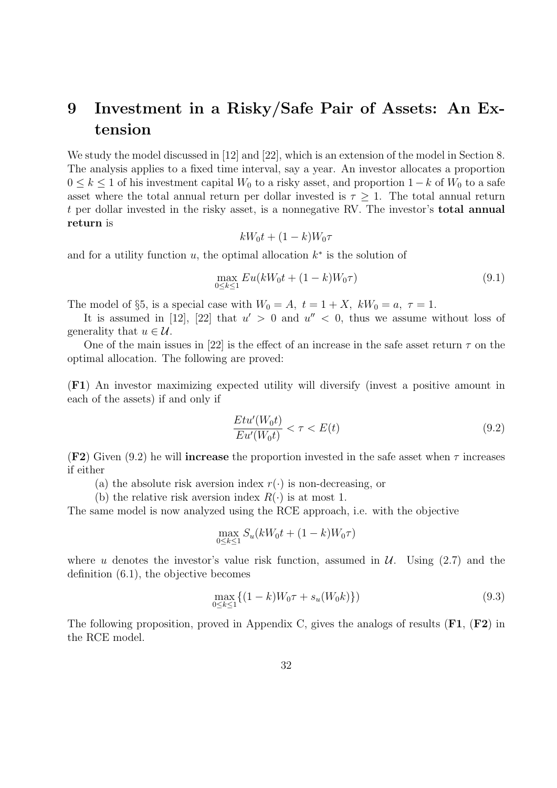## 9 Investment in a Risky/Safe Pair of Assets: An Extension

We study the model discussed in [12] and [22], which is an extension of the model in Section 8. The analysis applies to a fixed time interval, say a year. An investor allocates a proportion  $0 \leq k \leq 1$  of his investment capital  $W_0$  to a risky asset, and proportion  $1 - k$  of  $W_0$  to a safe asset where the total annual return per dollar invested is  $\tau \geq 1$ . The total annual return t per dollar invested in the risky asset, is a nonnegative RV. The investor's total annual return is

$$
kW_0t + (1 - k)W_0\tau
$$

and for a utility function  $u$ , the optimal allocation  $k^*$  is the solution of

$$
\max_{0 \le k \le 1} Eu(kW_0 t + (1 - k)W_0 \tau)
$$
\n(9.1)

The model of §5, is a special case with  $W_0 = A$ ,  $t = 1 + X$ ,  $kW_0 = a$ ,  $\tau = 1$ .

It is assumed in [12], [22] that  $u' > 0$  and  $u'' < 0$ , thus we assume without loss of generality that  $u \in \mathcal{U}$ .

One of the main issues in [22] is the effect of an increase in the safe asset return  $\tau$  on the optimal allocation. The following are proved:

(F1) An investor maximizing expected utility will diversify (invest a positive amount in each of the assets) if and only if

$$
\frac{Et u'(W_0 t)}{Eu'(W_0 t)} < \tau < E(t) \tag{9.2}
$$

(F2) Given (9.2) he will **increase** the proportion invested in the safe asset when  $\tau$  increases if either

- (a) the absolute risk aversion index  $r(\cdot)$  is non-decreasing, or
- (b) the relative risk aversion index  $R(\cdot)$  is at most 1.

The same model is now analyzed using the RCE approach, i.e. with the objective

$$
\max_{0 \le k \le 1} S_u(kW_0t + (1-k)W_0\tau)
$$

where u denotes the investor's value risk function, assumed in  $\mathcal{U}$ . Using (2.7) and the definition (6.1), the objective becomes

$$
\max_{0 \le k \le 1} \{ (1 - k)W_0 \tau + s_u(W_0 k) \} )
$$
\n(9.3)

The following proposition, proved in Appendix C, gives the analogs of results  $(F1, F2)$  in the RCE model.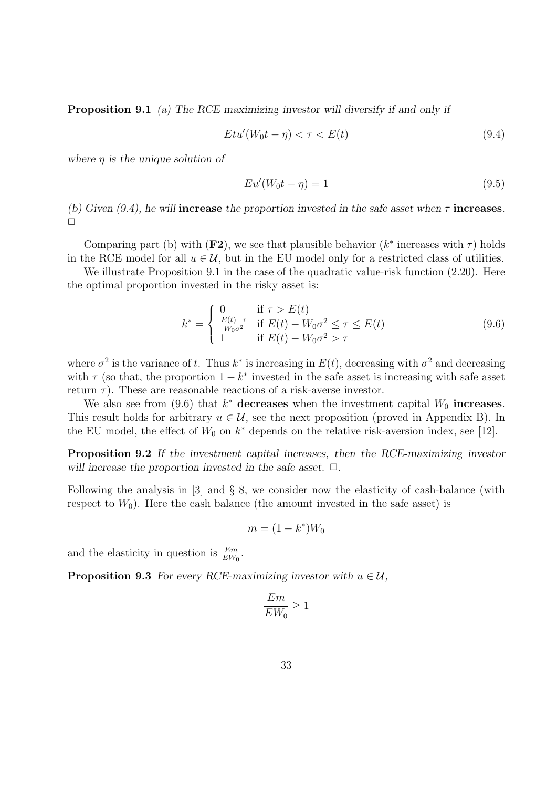Proposition 9.1 (a) The RCE maximizing investor will diversify if and only if

$$
Et u'(W_0 t - \eta) < \tau < E(t) \tag{9.4}
$$

where  $\eta$  is the unique solution of

$$
Eu'(W_0 t - \eta) = 1\tag{9.5}
$$

(b) Given (9.4), he will **increase** the proportion invested in the safe asset when  $\tau$  **increases**.  $\Box$ 

Comparing part (b) with  $(F2)$ , we see that plausible behavior  $(k^*$  increases with  $\tau$ ) holds in the RCE model for all  $u \in \mathcal{U}$ , but in the EU model only for a restricted class of utilities.

We illustrate Proposition 9.1 in the case of the quadratic value-risk function  $(2.20)$ . Here the optimal proportion invested in the risky asset is:

$$
k^* = \begin{cases} 0 & \text{if } \tau > E(t) \\ \frac{E(t) - \tau}{W_0 \sigma^2} & \text{if } E(t) - W_0 \sigma^2 \le \tau \le E(t) \\ 1 & \text{if } E(t) - W_0 \sigma^2 > \tau \end{cases} \tag{9.6}
$$

where  $\sigma^2$  is the variance of t. Thus  $k^*$  is increasing in  $E(t)$ , decreasing with  $\sigma^2$  and decreasing with  $\tau$  (so that, the proportion  $1 - k^*$  invested in the safe asset is increasing with safe asset return  $\tau$ ). These are reasonable reactions of a risk-averse investor.

We also see from (9.6) that  $k^*$  decreases when the investment capital  $W_0$  increases. This result holds for arbitrary  $u \in \mathcal{U}$ , see the next proposition (proved in Appendix B). In the EU model, the effect of  $W_0$  on  $k^*$  depends on the relative risk-aversion index, see [12].

Proposition 9.2 If the investment capital increases, then the RCE-maximizing investor will increase the proportion invested in the safe asset.  $\Box$ .

Following the analysis in [3] and § 8, we consider now the elasticity of cash-balance (with respect to  $W_0$ ). Here the cash balance (the amount invested in the safe asset) is

$$
m = (1 - k^*)W_0
$$

and the elasticity in question is  $\frac{Em}{EW_0}$ .

**Proposition 9.3** For every RCE-maximizing investor with  $u \in \mathcal{U}$ ,

$$
\frac{Em}{EW_0} \ge 1
$$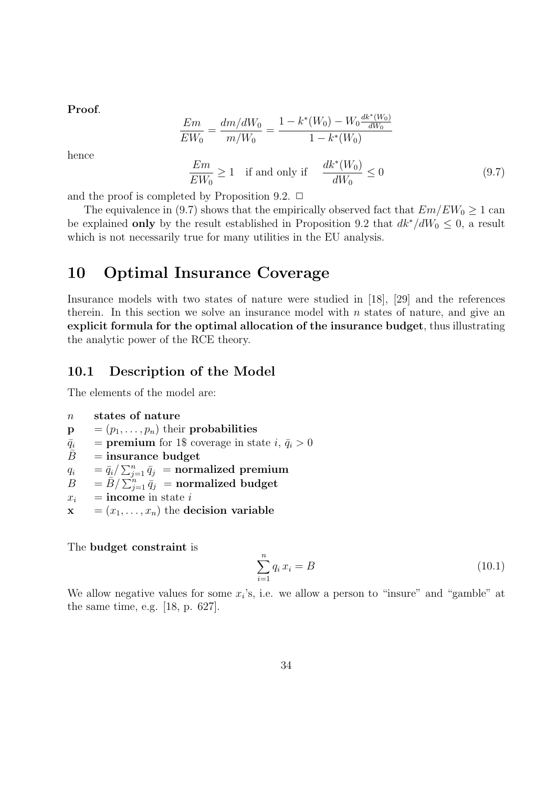Proof.

$$
\frac{Em}{EW_0} = \frac{dm/dW_0}{m/W_0} = \frac{1 - k^*(W_0) - W_0 \frac{dk^*(W_0)}{dW_0}}{1 - k^*(W_0)}
$$

hence

$$
\frac{Em}{EW_0} \ge 1 \quad \text{if and only if} \quad \frac{dk^*(W_0)}{dW_0} \le 0 \tag{9.7}
$$

and the proof is completed by Proposition 9.2.  $\Box$ 

The equivalence in (9.7) shows that the empirically observed fact that  $Em/EW_0 \ge 1$  can be explained only by the result established in Proposition 9.2 that  $dk^*/dW_0 \leq 0$ , a result which is not necessarily true for many utilities in the EU analysis.

### 10 Optimal Insurance Coverage

Insurance models with two states of nature were studied in [18], [29] and the references therein. In this section we solve an insurance model with  $n$  states of nature, and give an explicit formula for the optimal allocation of the insurance budget, thus illustrating the analytic power of the RCE theory.

#### 10.1 Description of the Model

The elements of the model are:

$$
n \qquad \hbox{states of nature}
$$

- $\mathbf{p} = (p_1, \ldots, p_n)$  their probabilities
- $\bar{q}_i$  = **premium** for 1\$ coverage in state  $i, \bar{q}_i > 0$
- $\bar{B}$  = insurance budget
- $q_i$  =  $\bar{q}_i / \sum_{j=1}^n \bar{q}_j$  = normalized premium
- $B = \overline{B}/\sum_{j=1}^{n} \overline{q}_j$  = normalized budget
- $x_i$  = income in state i
- $x = (x_1, \ldots, x_n)$  the decision variable

The budget constraint is

$$
\sum_{i=1}^{n} q_i x_i = B \tag{10.1}
$$

We allow negative values for some  $x_i$ 's, i.e. we allow a person to "insure" and "gamble" at the same time, e.g. [18, p. 627].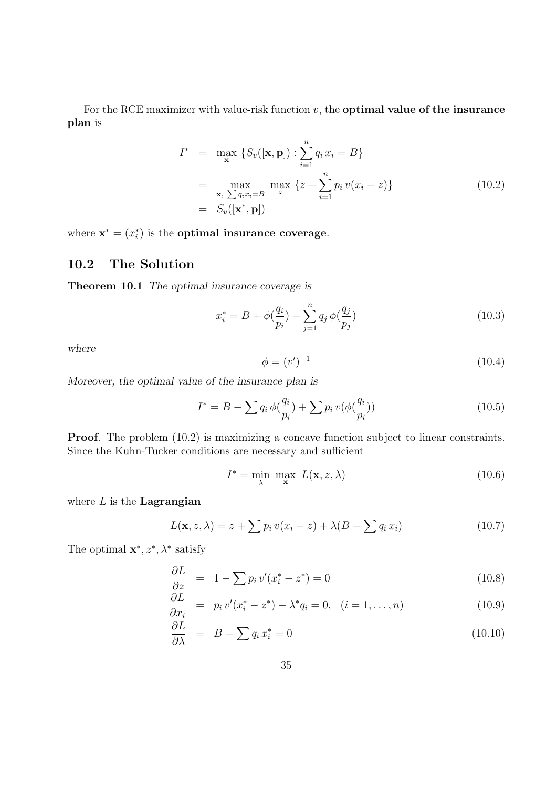For the RCE maximizer with value-risk function  $v$ , the **optimal value of the insurance** plan is

$$
I^* = \max_{\mathbf{x}} \{ S_v([\mathbf{x}, \mathbf{p}]) : \sum_{i=1}^n q_i x_i = B \}
$$
  
= 
$$
\max_{\mathbf{x}, \sum q_i x_i = B} \max_{z} \{ z + \sum_{i=1}^n p_i v(x_i - z) \}
$$
  
= 
$$
S_v([\mathbf{x}^*, \mathbf{p}])
$$
 (10.2)

where  $\mathbf{x}^* = (x_i^*)$  is the **optimal insurance coverage**.

### 10.2 The Solution

Theorem 10.1 The optimal insurance coverage is

$$
x_i^* = B + \phi(\frac{q_i}{p_i}) - \sum_{j=1}^n q_j \phi(\frac{q_j}{p_j})
$$
\n(10.3)

where

$$
\phi = (v')^{-1} \tag{10.4}
$$

Moreover, the optimal value of the insurance plan is

$$
I^* = B - \sum q_i \, \phi\left(\frac{q_i}{p_i}\right) + \sum p_i \, v\left(\phi\left(\frac{q_i}{p_i}\right)\right) \tag{10.5}
$$

Proof. The problem  $(10.2)$  is maximizing a concave function subject to linear constraints. Since the Kuhn-Tucker conditions are necessary and sufficient

$$
I^* = \min_{\lambda} \max_{\mathbf{x}} L(\mathbf{x}, z, \lambda)
$$
 (10.6)

where  $L$  is the **Lagrangian** 

$$
L(\mathbf{x}, z, \lambda) = z + \sum p_i v(x_i - z) + \lambda (B - \sum q_i x_i)
$$
 (10.7)

The optimal  $\mathbf{x}^*, z^*, \lambda^*$  satisfy

$$
\frac{\partial L}{\partial z} = 1 - \sum p_i v'(x_i^* - z^*) = 0 \tag{10.8}
$$

$$
\frac{\partial L}{\partial x_i} = p_i v'(x_i^* - z^*) - \lambda^* q_i = 0, \quad (i = 1, ..., n)
$$
\n(10.9)

$$
\frac{\partial L}{\partial \lambda} = B - \sum q_i x_i^* = 0 \tag{10.10}
$$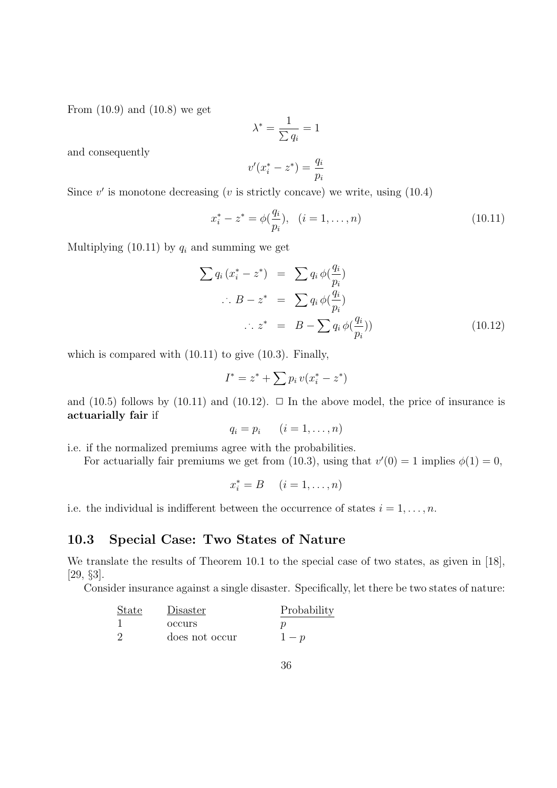From (10.9) and (10.8) we get

$$
\lambda^* = \frac{1}{\sum q_i} = 1
$$

and consequently

$$
v'(x_i^* - z^*) = \frac{q_i}{p_i}
$$

Since  $v'$  is monotone decreasing ( $v$  is strictly concave) we write, using  $(10.4)$ 

$$
x_i^* - z^* = \phi(\frac{q_i}{p_i}), \quad (i = 1, \dots, n)
$$
\n(10.11)

Multiplying (10.11) by  $q_i$  and summing we get

$$
\sum q_i (x_i^* - z^*) = \sum q_i \phi(\frac{q_i}{p_i})
$$
  
\n
$$
\therefore B - z^* = \sum q_i \phi(\frac{q_i}{p_i})
$$
  
\n
$$
\therefore z^* = B - \sum q_i \phi(\frac{q_i}{p_i}))
$$
\n(10.12)

which is compared with (10.11) to give (10.3). Finally,

$$
I^* = z^* + \sum p_i v(x_i^* - z^*)
$$

and (10.5) follows by (10.11) and (10.12).  $\Box$  In the above model, the price of insurance is actuarially fair if

$$
q_i = p_i \qquad (i = 1, \ldots, n)
$$

i.e. if the normalized premiums agree with the probabilities.

For actuarially fair premiums we get from (10.3), using that  $v'(0) = 1$  implies  $\phi(1) = 0$ ,

$$
x_i^* = B \quad (i = 1, \dots, n)
$$

i.e. the individual is indifferent between the occurrence of states  $i = 1, \ldots, n$ .

#### 10.3 Special Case: Two States of Nature

We translate the results of Theorem 10.1 to the special case of two states, as given in [18], [29, §3].

Consider insurance against a single disaster. Specifically, let there be two states of nature:

| State | Disaster       | Probability |
|-------|----------------|-------------|
|       | <b>OCCUITS</b> |             |
|       | does not occur | $1-p$       |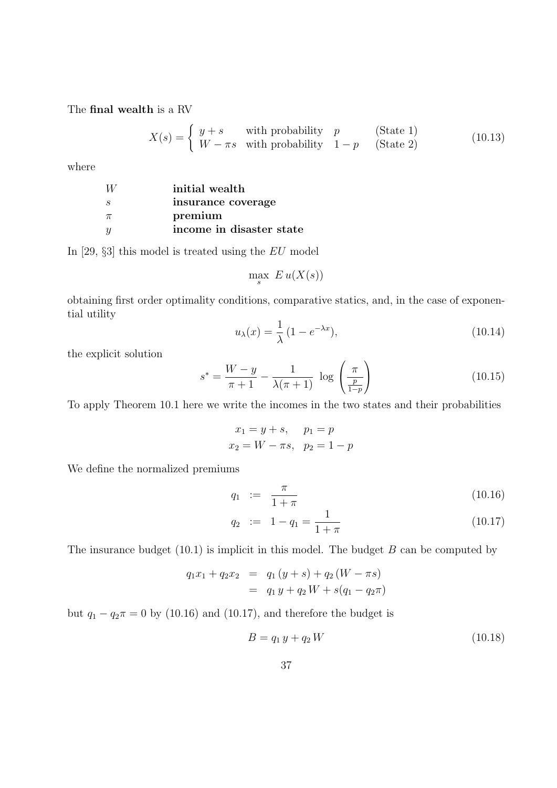The final wealth is a RV

$$
X(s) = \begin{cases} y+s & \text{with probability} \quad p \\ W-\pi s & \text{with probability} \quad 1-p \end{cases} \quad \text{(State 1)} \tag{10.13}
$$

where

| W     | initial wealth           |
|-------|--------------------------|
| S,    | insurance coverage       |
| $\pi$ | premium                  |
| Y     | income in disaster state |

In [29, §3] this model is treated using the EU model

$$
\max_{s} E u(X(s))
$$

obtaining first order optimality conditions, comparative statics, and, in the case of exponential utility

$$
u_{\lambda}(x) = \frac{1}{\lambda} (1 - e^{-\lambda x}),
$$
\n(10.14)

the explicit solution

$$
s^* = \frac{W - y}{\pi + 1} - \frac{1}{\lambda(\pi + 1)} \log \left( \frac{\pi}{\frac{p}{1 - p}} \right)
$$
 (10.15)

To apply Theorem 10.1 here we write the incomes in the two states and their probabilities

$$
x_1 = y + s
$$
,  $p_1 = p$   
 $x_2 = W - \pi s$ ,  $p_2 = 1 - p$ 

We define the normalized premiums

$$
q_1 := \frac{\pi}{1 + \pi} \tag{10.16}
$$

$$
q_2 := 1 - q_1 = \frac{1}{1 + \pi} \tag{10.17}
$$

The insurance budget  $(10.1)$  is implicit in this model. The budget B can be computed by

$$
q_1x_1 + q_2x_2 = q_1(y+s) + q_2(W-\pi s)
$$
  
=  $q_1 y + q_2 W + s(q_1 - q_2 \pi)$ 

but  $q_1 - q_2 \pi = 0$  by (10.16) and (10.17), and therefore the budget is

$$
B = q_1 y + q_2 W \tag{10.18}
$$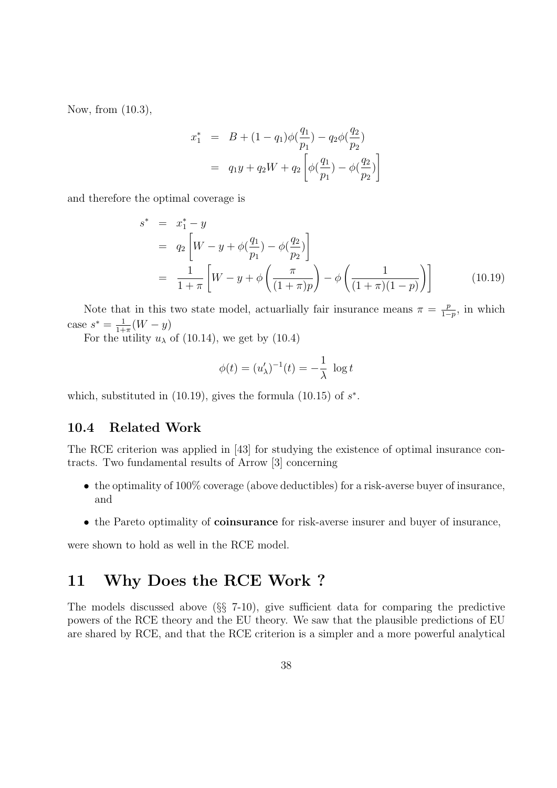Now, from (10.3),

$$
x_1^* = B + (1 - q_1)\phi(\frac{q_1}{p_1}) - q_2\phi(\frac{q_2}{p_2})
$$
  
=  $q_1y + q_2W + q_2\left[\phi(\frac{q_1}{p_1}) - \phi(\frac{q_2}{p_2})\right]$ 

and therefore the optimal coverage is

$$
s^* = x_1^* - y
$$
  
=  $q_2 \left[ W - y + \phi \left( \frac{q_1}{p_1} \right) - \phi \left( \frac{q_2}{p_2} \right) \right]$   
=  $\frac{1}{1 + \pi} \left[ W - y + \phi \left( \frac{\pi}{(1 + \pi)p} \right) - \phi \left( \frac{1}{(1 + \pi)(1 - p)} \right) \right]$  (10.19)

Note that in this two state model, actuarlially fair insurance means  $\pi = \frac{p}{1-p}$  $\frac{p}{1-p}$ , in which case  $s^* = \frac{1}{1+1}$  $\frac{1}{1+\pi}(W-y)$ 

For the utility  $u_{\lambda}$  of (10.14), we get by (10.4)

$$
\phi(t) = (u'_{\lambda})^{-1}(t) = -\frac{1}{\lambda} \, \log t
$$

which, substituted in  $(10.19)$ , gives the formula  $(10.15)$  of  $s^*$ .

#### 10.4 Related Work

The RCE criterion was applied in [43] for studying the existence of optimal insurance contracts. Two fundamental results of Arrow [3] concerning

- the optimality of 100% coverage (above deductibles) for a risk-averse buyer of insurance, and
- the Pareto optimality of **coinsurance** for risk-averse insurer and buyer of insurance,

were shown to hold as well in the RCE model.

## 11 Why Does the RCE Work ?

The models discussed above (§§ 7-10), give sufficient data for comparing the predictive powers of the RCE theory and the EU theory. We saw that the plausible predictions of EU are shared by RCE, and that the RCE criterion is a simpler and a more powerful analytical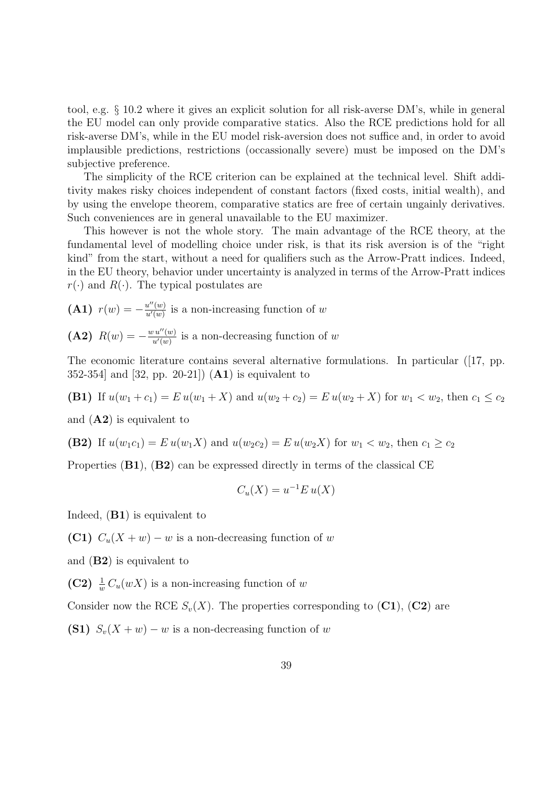tool, e.g. § 10.2 where it gives an explicit solution for all risk-averse DM's, while in general the EU model can only provide comparative statics. Also the RCE predictions hold for all risk-averse DM's, while in the EU model risk-aversion does not suffice and, in order to avoid implausible predictions, restrictions (occassionally severe) must be imposed on the DM's subjective preference.

The simplicity of the RCE criterion can be explained at the technical level. Shift additivity makes risky choices independent of constant factors (fixed costs, initial wealth), and by using the envelope theorem, comparative statics are free of certain ungainly derivatives. Such conveniences are in general unavailable to the EU maximizer.

This however is not the whole story. The main advantage of the RCE theory, at the fundamental level of modelling choice under risk, is that its risk aversion is of the "right kind" from the start, without a need for qualifiers such as the Arrow-Pratt indices. Indeed, in the EU theory, behavior under uncertainty is analyzed in terms of the Arrow-Pratt indices  $r(\cdot)$  and  $R(\cdot)$ . The typical postulates are

(A1)  $r(w) = -\frac{u''(w)}{u'(w)}$  $\frac{u^{\alpha}(w)}{u'(w)}$  is a non-increasing function of w

(A2)  $R(w) = -\frac{w u''(w)}{w'(w)}$  $\frac{u''(w)}{u'(w)}$  is a non-decreasing function of w

The economic literature contains several alternative formulations. In particular ([17, pp. 352-354] and  $[32, pp. 20-21]$   $(A1)$  is equivalent to

(B1) If  $u(w_1 + c_1) = E u(w_1 + X)$  and  $u(w_2 + c_2) = E u(w_2 + X)$  for  $w_1 < w_2$ , then  $c_1 \le c_2$ 

and  $(A2)$  is equivalent to

(B2) If 
$$
u(w_1c_1) = E u(w_1X)
$$
 and  $u(w_2c_2) = E u(w_2X)$  for  $w_1 < w_2$ , then  $c_1 \ge c_2$ 

Properties (B1), (B2) can be expressed directly in terms of the classical CE

$$
C_u(X) = u^{-1}E u(X)
$$

Indeed, (B1) is equivalent to

(C1)  $C_u(X + w) - w$  is a non-decreasing function of w

and (B2) is equivalent to

(C2)  $\frac{1}{w}C_u(wX)$  is a non-increasing function of w

Consider now the RCE  $S_v(X)$ . The properties corresponding to  $(C1)$ ,  $(C2)$  are

(S1)  $S_v(X + w) - w$  is a non-decreasing function of w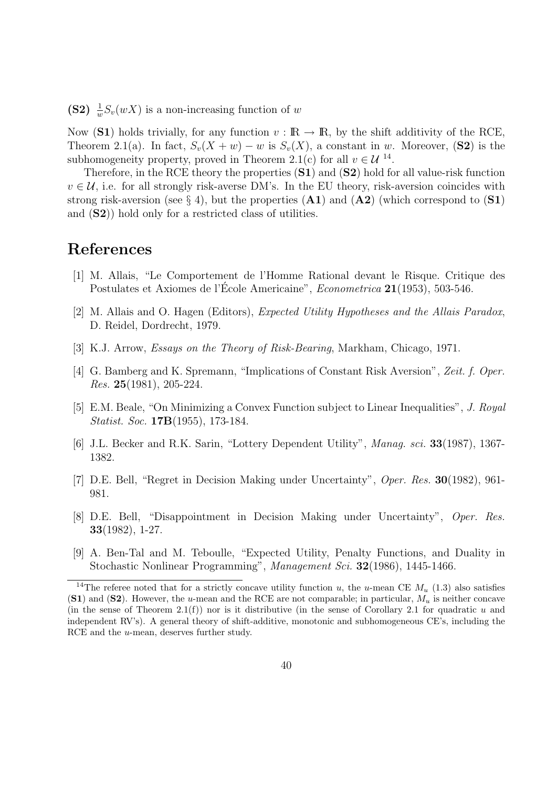(S2)  $\frac{1}{w}S_v(wX)$  is a non-increasing function of w

Now (S1) holds trivially, for any function  $v : \mathbb{R} \to \mathbb{R}$ , by the shift additivity of the RCE, Theorem 2.1(a). In fact,  $S_v(X + w) - w$  is  $S_v(X)$ , a constant in w. Moreover, (S2) is the subhomogeneity property, proved in Theorem 2.1(c) for all  $v \in \mathcal{U}^{\{14\}}$ .

Therefore, in the RCE theory the properties  $(S1)$  and  $(S2)$  hold for all value-risk function  $v \in \mathcal{U}$ , i.e. for all strongly risk-averse DM's. In the EU theory, risk-aversion coincides with strong risk-aversion (see § 4), but the properties  $(A1)$  and  $(A2)$  (which correspond to  $(S1)$ ) and (S2)) hold only for a restricted class of utilities.

## References

- [1] M. Allais, "Le Comportement de l'Homme Rational devant le Risque. Critique des Postulates et Axiomes de l'Ecole Americaine", *Econometrica* 21(1953), 503-546.
- [2] M. Allais and O. Hagen (Editors), Expected Utility Hypotheses and the Allais Paradox, D. Reidel, Dordrecht, 1979.
- [3] K.J. Arrow, Essays on the Theory of Risk-Bearing, Markham, Chicago, 1971.
- [4] G. Bamberg and K. Spremann, "Implications of Constant Risk Aversion", Zeit. f. Oper. Res. 25(1981), 205-224.
- [5] E.M. Beale, "On Minimizing a Convex Function subject to Linear Inequalities", J. Royal Statist. Soc. 17B(1955), 173-184.
- [6] J.L. Becker and R.K. Sarin, "Lottery Dependent Utility", Manag. sci. 33(1987), 1367- 1382.
- [7] D.E. Bell, "Regret in Decision Making under Uncertainty", Oper. Res. 30(1982), 961- 981.
- [8] D.E. Bell, "Disappointment in Decision Making under Uncertainty", Oper. Res. 33(1982), 1-27.
- [9] A. Ben-Tal and M. Teboulle, "Expected Utility, Penalty Functions, and Duality in Stochastic Nonlinear Programming", Management Sci. 32(1986), 1445-1466.

<sup>&</sup>lt;sup>14</sup>The referee noted that for a strictly concave utility function u, the u-mean CE  $M_u$  (1.3) also satisfies (S1) and (S2). However, the u-mean and the RCE are not comparable; in particular,  $M_u$  is neither concave (in the sense of Theorem 2.1(f)) nor is it distributive (in the sense of Corollary 2.1 for quadratic u and independent RV's). A general theory of shift-additive, monotonic and subhomogeneous CE's, including the RCE and the *u*-mean, deserves further study.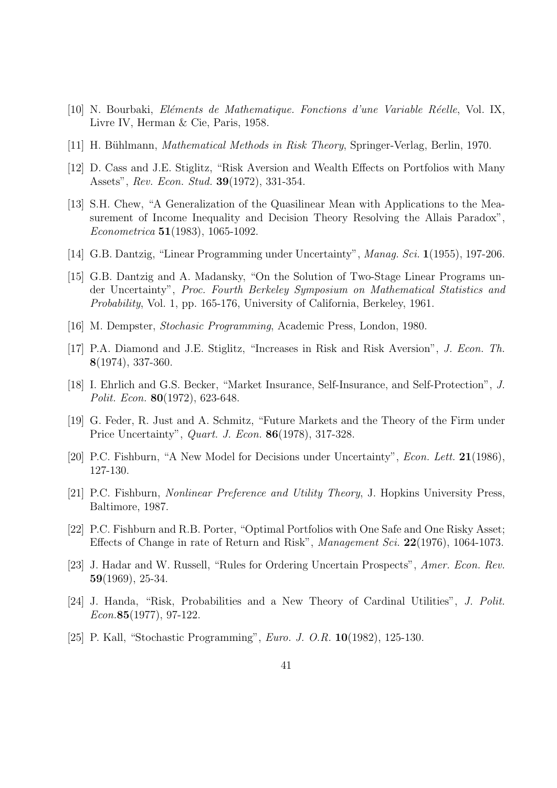- [10] N. Bourbaki, El´ements de Mathematique. Fonctions d'une Variable R´eelle, Vol. IX, Livre IV, Herman & Cie, Paris, 1958.
- [11] H. Bühlmann, *Mathematical Methods in Risk Theory*, Springer-Verlag, Berlin, 1970.
- [12] D. Cass and J.E. Stiglitz, "Risk Aversion and Wealth Effects on Portfolios with Many Assets", Rev. Econ. Stud. 39(1972), 331-354.
- [13] S.H. Chew, "A Generalization of the Quasilinear Mean with Applications to the Measurement of Income Inequality and Decision Theory Resolving the Allais Paradox", Econometrica 51(1983), 1065-1092.
- [14] G.B. Dantzig, "Linear Programming under Uncertainty", *Manag. Sci.* 1(1955), 197-206.
- [15] G.B. Dantzig and A. Madansky, "On the Solution of Two-Stage Linear Programs under Uncertainty", Proc. Fourth Berkeley Symposium on Mathematical Statistics and Probability, Vol. 1, pp. 165-176, University of California, Berkeley, 1961.
- [16] M. Dempster, Stochasic Programming, Academic Press, London, 1980.
- [17] P.A. Diamond and J.E. Stiglitz, "Increases in Risk and Risk Aversion", J. Econ. Th. 8(1974), 337-360.
- [18] I. Ehrlich and G.S. Becker, "Market Insurance, Self-Insurance, and Self-Protection", J. Polit. Econ. 80(1972), 623-648.
- [19] G. Feder, R. Just and A. Schmitz, "Future Markets and the Theory of the Firm under Price Uncertainty", Quart. J. Econ. 86(1978), 317-328.
- [20] P.C. Fishburn, "A New Model for Decisions under Uncertainty", Econ. Lett. 21(1986), 127-130.
- [21] P.C. Fishburn, Nonlinear Preference and Utility Theory, J. Hopkins University Press, Baltimore, 1987.
- [22] P.C. Fishburn and R.B. Porter, "Optimal Portfolios with One Safe and One Risky Asset; Effects of Change in rate of Return and Risk", Management Sci. 22(1976), 1064-1073.
- [23] J. Hadar and W. Russell, "Rules for Ordering Uncertain Prospects", Amer. Econ. Rev. 59(1969), 25-34.
- [24] J. Handa, "Risk, Probabilities and a New Theory of Cardinal Utilities", J. Polit. Econ.85(1977), 97-122.
- [25] P. Kall, "Stochastic Programming", Euro. J. O.R. 10(1982), 125-130.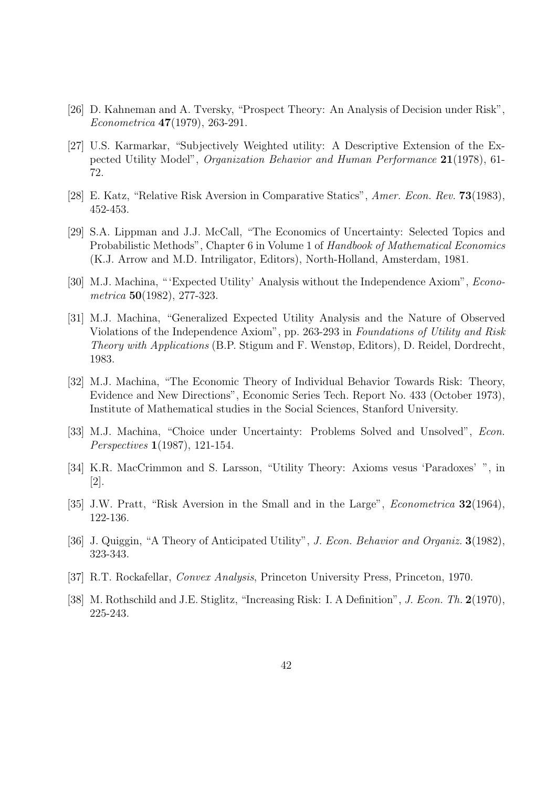- [26] D. Kahneman and A. Tversky, "Prospect Theory: An Analysis of Decision under Risk", Econometrica 47(1979), 263-291.
- [27] U.S. Karmarkar, "Subjectively Weighted utility: A Descriptive Extension of the Expected Utility Model", Organization Behavior and Human Performance 21(1978), 61- 72.
- [28] E. Katz, "Relative Risk Aversion in Comparative Statics", Amer. Econ. Rev. 73(1983), 452-453.
- [29] S.A. Lippman and J.J. McCall, "The Economics of Uncertainty: Selected Topics and Probabilistic Methods", Chapter 6 in Volume 1 of Handbook of Mathematical Economics (K.J. Arrow and M.D. Intriligator, Editors), North-Holland, Amsterdam, 1981.
- [30] M.J. Machina, "'Expected Utility' Analysis without the Independence Axiom", *Econo*metrica 50(1982), 277-323.
- [31] M.J. Machina, "Generalized Expected Utility Analysis and the Nature of Observed Violations of the Independence Axiom", pp. 263-293 in Foundations of Utility and Risk Theory with Applications (B.P. Stigum and F. Wenstøp, Editors), D. Reidel, Dordrecht, 1983.
- [32] M.J. Machina, "The Economic Theory of Individual Behavior Towards Risk: Theory, Evidence and New Directions", Economic Series Tech. Report No. 433 (October 1973), Institute of Mathematical studies in the Social Sciences, Stanford University.
- [33] M.J. Machina, "Choice under Uncertainty: Problems Solved and Unsolved", *Econ.* Perspectives 1(1987), 121-154.
- [34] K.R. MacCrimmon and S. Larsson, "Utility Theory: Axioms vesus 'Paradoxes' ", in [2].
- [35] J.W. Pratt, "Risk Aversion in the Small and in the Large", *Econometrica* 32(1964), 122-136.
- [36] J. Quiggin, "A Theory of Anticipated Utility", J. Econ. Behavior and Organiz. 3(1982), 323-343.
- [37] R.T. Rockafellar, Convex Analysis, Princeton University Press, Princeton, 1970.
- [38] M. Rothschild and J.E. Stiglitz, "Increasing Risk: I. A Definition", *J. Econ. Th.* 2(1970), 225-243.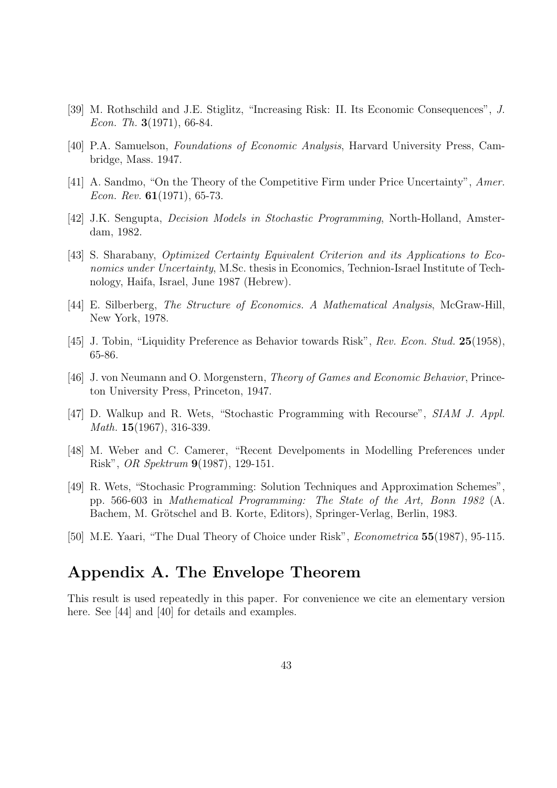- [39] M. Rothschild and J.E. Stiglitz, "Increasing Risk: II. Its Economic Consequences", J. Econ. Th.  $3(1971)$ , 66-84.
- [40] P.A. Samuelson, Foundations of Economic Analysis, Harvard University Press, Cambridge, Mass. 1947.
- [41] A. Sandmo, "On the Theory of the Competitive Firm under Price Uncertainty", Amer. Econ. Rev.  $61(1971)$ , 65-73.
- [42] J.K. Sengupta, Decision Models in Stochastic Programming, North-Holland, Amsterdam, 1982.
- [43] S. Sharabany, Optimized Certainty Equivalent Criterion and its Applications to Economics under Uncertainty, M.Sc. thesis in Economics, Technion-Israel Institute of Technology, Haifa, Israel, June 1987 (Hebrew).
- [44] E. Silberberg, The Structure of Economics. A Mathematical Analysis, McGraw-Hill, New York, 1978.
- [45] J. Tobin, "Liquidity Preference as Behavior towards Risk", Rev. Econ. Stud. 25(1958), 65-86.
- [46] J. von Neumann and O. Morgenstern, *Theory of Games and Economic Behavior*, Princeton University Press, Princeton, 1947.
- [47] D. Walkup and R. Wets, "Stochastic Programming with Recourse", SIAM J. Appl. Math. **15**(1967), 316-339.
- [48] M. Weber and C. Camerer, "Recent Develpoments in Modelling Preferences under Risk", OR Spektrum 9(1987), 129-151.
- [49] R. Wets, "Stochasic Programming: Solution Techniques and Approximation Schemes", pp. 566-603 in Mathematical Programming: The State of the Art, Bonn 1982 (A. Bachem, M. Grötschel and B. Korte, Editors), Springer-Verlag, Berlin, 1983.
- [50] M.E. Yaari, "The Dual Theory of Choice under Risk", *Econometrica* 55(1987), 95-115.

## Appendix A. The Envelope Theorem

This result is used repeatedly in this paper. For convenience we cite an elementary version here. See [44] and [40] for details and examples.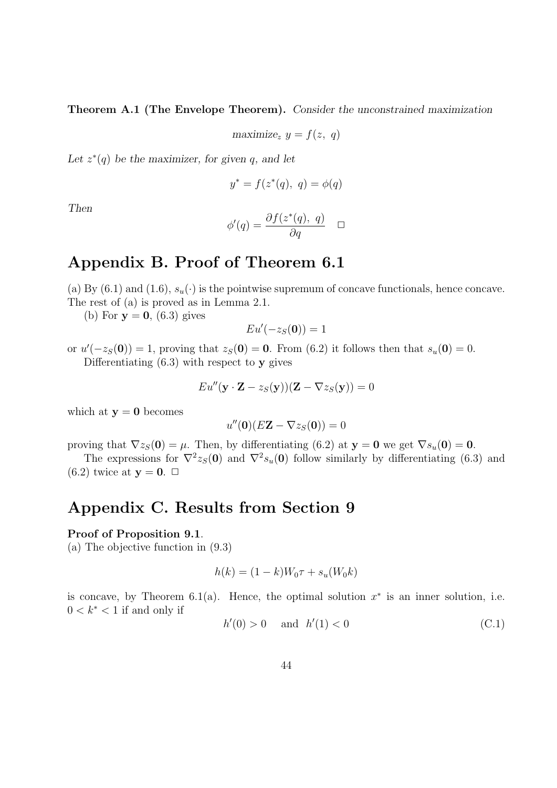Theorem A.1 (The Envelope Theorem). Consider the unconstrained maximization

$$
\text{maximize}_{z} \ y = f(z, \ q)
$$

Let  $z^*(q)$  be the maximizer, for given q, and let

$$
y^* = f(z^*(q), q) = \phi(q)
$$

Then

$$
\phi'(q) = \frac{\partial f(z^*(q), q)}{\partial q} \quad \Box
$$

## Appendix B. Proof of Theorem 6.1

(a) By (6.1) and (1.6),  $s_u(\cdot)$  is the pointwise supremum of concave functionals, hence concave. The rest of (a) is proved as in Lemma 2.1.

(b) For  $y = 0$ , (6.3) gives

$$
Eu'(-z_S(\mathbf{0}))=1
$$

or  $u'(-z_S(0)) = 1$ , proving that  $z_S(0) = 0$ . From (6.2) it follows then that  $s_u(0) = 0$ . Differentiating  $(6.3)$  with respect to y gives

$$
Eu''(\mathbf{y} \cdot \mathbf{Z} - z_S(\mathbf{y}))(\mathbf{Z} - \nabla z_S(\mathbf{y})) = 0
$$

which at  $y = 0$  becomes

$$
u''(\mathbf{0})(E\mathbf{Z} - \nabla z_S(\mathbf{0})) = 0
$$

proving that  $\nabla z_S(0) = \mu$ . Then, by differentiating (6.2) at  $y = 0$  we get  $\nabla s_u(0) = 0$ .

The expressions for  $\nabla^2 z_S(0)$  and  $\nabla^2 s_u(0)$  follow similarly by differentiating (6.3) and  $(6.2)$  twice at  $y = 0$ .  $\Box$ 

## Appendix C. Results from Section 9

#### Proof of Proposition 9.1.

(a) The objective function in (9.3)

$$
h(k) = (1 - k)W_0 \tau + s_u(W_0 k)
$$

is concave, by Theorem 6.1(a). Hence, the optimal solution  $x^*$  is an inner solution, i.e.  $0 < k^* < 1$  if and only if

$$
h'(0) > 0 \quad \text{and} \quad h'(1) < 0 \tag{C.1}
$$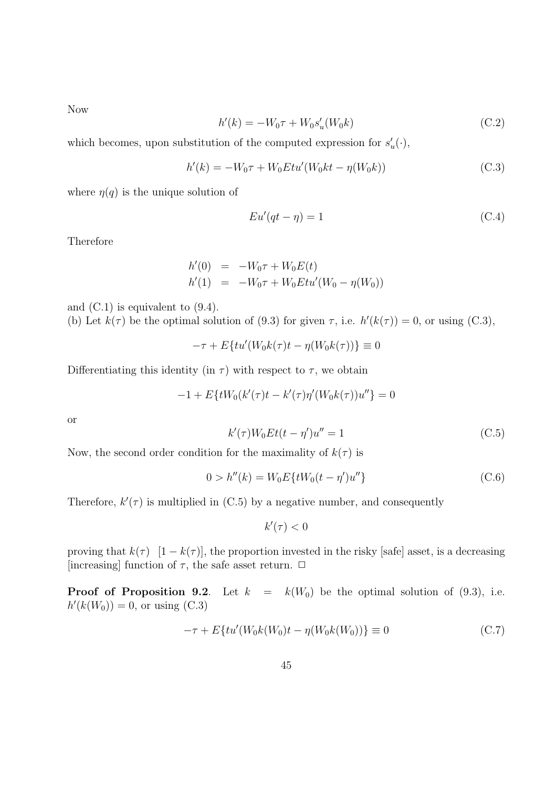Now

$$
h'(k) = -W_0 \tau + W_0 s'_u(W_0 k)
$$
\n(C.2)

which becomes, upon substitution of the computed expression for  $s'_u(\cdot)$ ,

$$
h'(k) = -W_0 \tau + W_0 E t u'(W_0 k t - \eta(W_0 k))
$$
\n(C.3)

where  $\eta(q)$  is the unique solution of

$$
Eu'(qt - \eta) = 1\tag{C.4}
$$

Therefore

$$
h'(0) = -W_0 \tau + W_0 E(t)
$$
  

$$
h'(1) = -W_0 \tau + W_0 E t u'(W_0 - \eta(W_0))
$$

and  $(C.1)$  is equivalent to  $(9.4)$ . (b) Let  $k(\tau)$  be the optimal solution of (9.3) for given  $\tau$ , i.e.  $h'(k(\tau)) = 0$ , or using (C.3),

$$
-\tau + E\{tu'(W_0k(\tau)t - \eta(W_0k(\tau))\} \equiv 0
$$

Differentiating this identity (in  $\tau$ ) with respect to  $\tau$ , we obtain

$$
-1 + E\{tW_0(k'(\tau)t - k'(\tau)\eta'(W_0k(\tau))u''\} = 0
$$

or

$$
k'(\tau)W_0Et(t-\eta')u'' = 1
$$
\n(C.5)

Now, the second order condition for the maximality of  $k(\tau)$  is

$$
0 > h''(k) = W_0 E\{tW_0(t - \eta')u''\}
$$
\n(C.6)

Therefore,  $k'(\tau)$  is multiplied in (C.5) by a negative number, and consequently

 $k'(\tau) < 0$ 

proving that  $k(\tau)$  [1 – k( $\tau$ )], the proportion invested in the risky [safe] asset, is a decreasing [increasing] function of  $\tau$ , the safe asset return.  $\Box$ 

**Proof of Proposition 9.2.** Let  $k = k(W_0)$  be the optimal solution of (9.3), i.e.  $h'(k(W_0)) = 0$ , or using (C.3)

$$
-\tau + E\{tu'(W_0k(W_0)t - \eta(W_0k(W_0))\} \equiv 0
$$
\n(C.7)